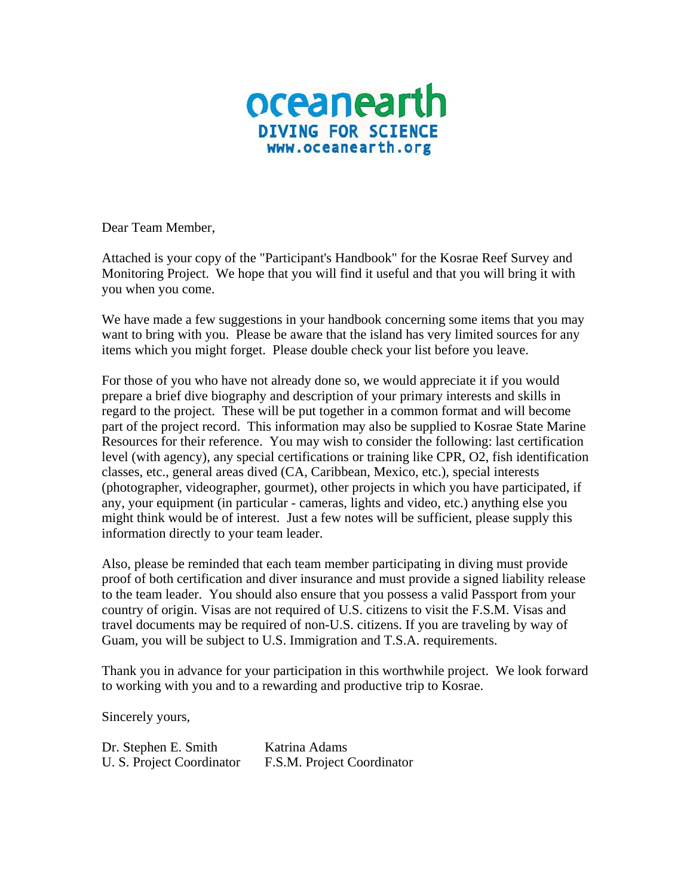

Dear Team Member,

Attached is your copy of the "Participant's Handbook" for the Kosrae Reef Survey and Monitoring Project. We hope that you will find it useful and that you will bring it with you when you come.

We have made a few suggestions in your handbook concerning some items that you may want to bring with you. Please be aware that the island has very limited sources for any items which you might forget. Please double check your list before you leave.

For those of you who have not already done so, we would appreciate it if you would prepare a brief dive biography and description of your primary interests and skills in regard to the project. These will be put together in a common format and will become part of the project record. This information may also be supplied to Kosrae State Marine Resources for their reference. You may wish to consider the following: last certification level (with agency), any special certifications or training like CPR, O2, fish identification classes, etc., general areas dived (CA, Caribbean, Mexico, etc.), special interests (photographer, videographer, gourmet), other projects in which you have participated, if any, your equipment (in particular - cameras, lights and video, etc.) anything else you might think would be of interest. Just a few notes will be sufficient, please supply this information directly to your team leader.

Also, please be reminded that each team member participating in diving must provide proof of both certification and diver insurance and must provide a signed liability release to the team leader. You should also ensure that you possess a valid Passport from your country of origin. Visas are not required of U.S. citizens to visit the F.S.M. Visas and travel documents may be required of non-U.S. citizens. If you are traveling by way of Guam, you will be subject to U.S. Immigration and T.S.A. requirements.

Thank you in advance for your participation in this worthwhile project. We look forward to working with you and to a rewarding and productive trip to Kosrae.

Sincerely yours,

| Dr. Stephen E. Smith      | Katrina Adams              |
|---------------------------|----------------------------|
| U. S. Project Coordinator | F.S.M. Project Coordinator |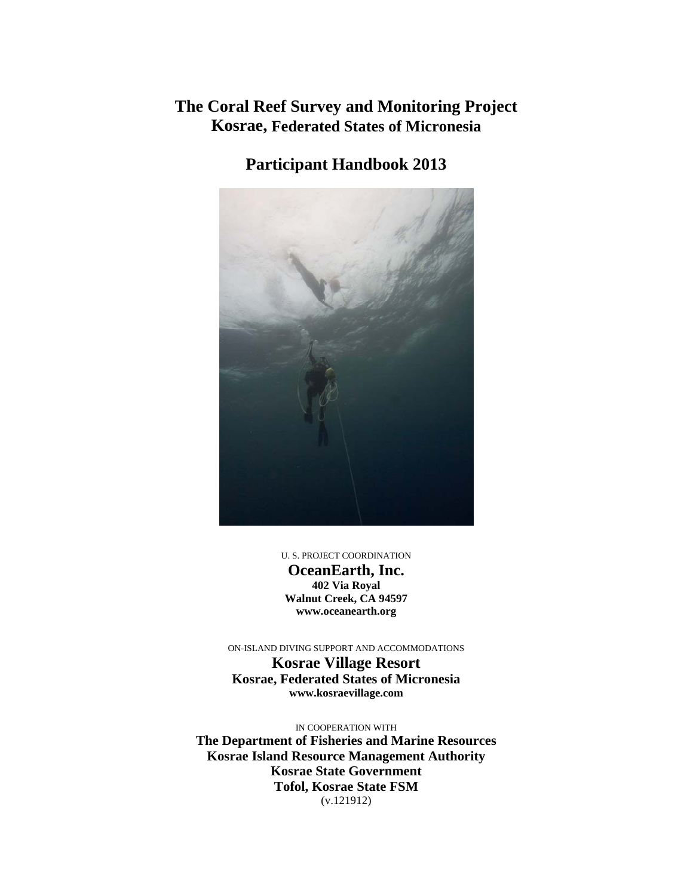# **The Coral Reef Survey and Monitoring Project Kosrae, Federated States of Micronesia**

**Participant Handbook 2013** 



U. S. PROJECT COORDINATION **OceanEarth, Inc. 402 Via Royal Walnut Creek, CA 94597 www.oceanearth.org** 

ON-ISLAND DIVING SUPPORT AND ACCOMMODATIONS

**Kosrae Village Resort Kosrae, Federated States of Micronesia www.kosraevillage.com** 

IN COOPERATION WITH

**The Department of Fisheries and Marine Resources Kosrae Island Resource Management Authority Kosrae State Government Tofol, Kosrae State FSM**  (v.121912)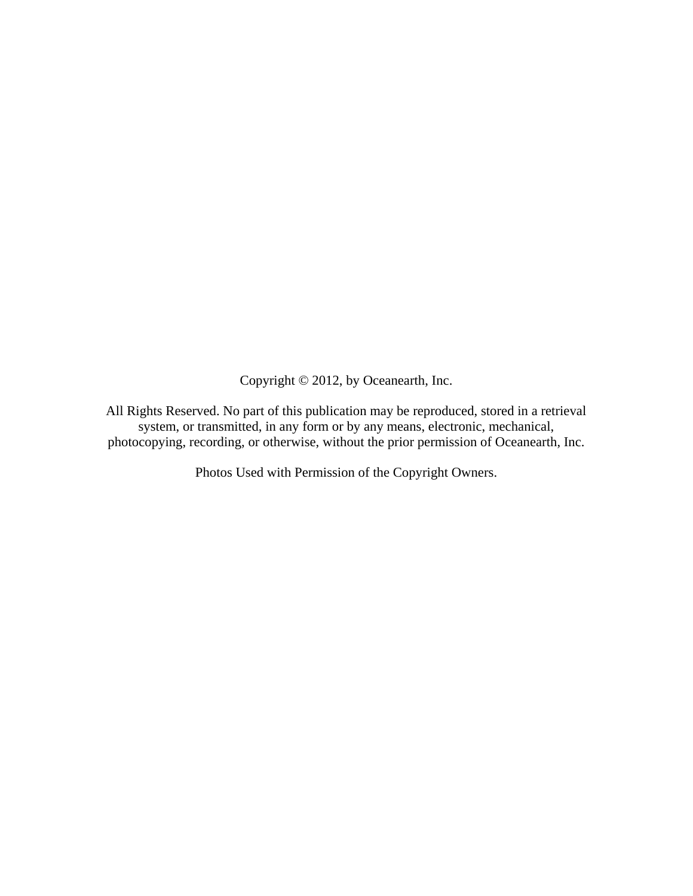Copyright © 2012, by Oceanearth, Inc.

All Rights Reserved. No part of this publication may be reproduced, stored in a retrieval system, or transmitted, in any form or by any means, electronic, mechanical, photocopying, recording, or otherwise, without the prior permission of Oceanearth, Inc.

Photos Used with Permission of the Copyright Owners.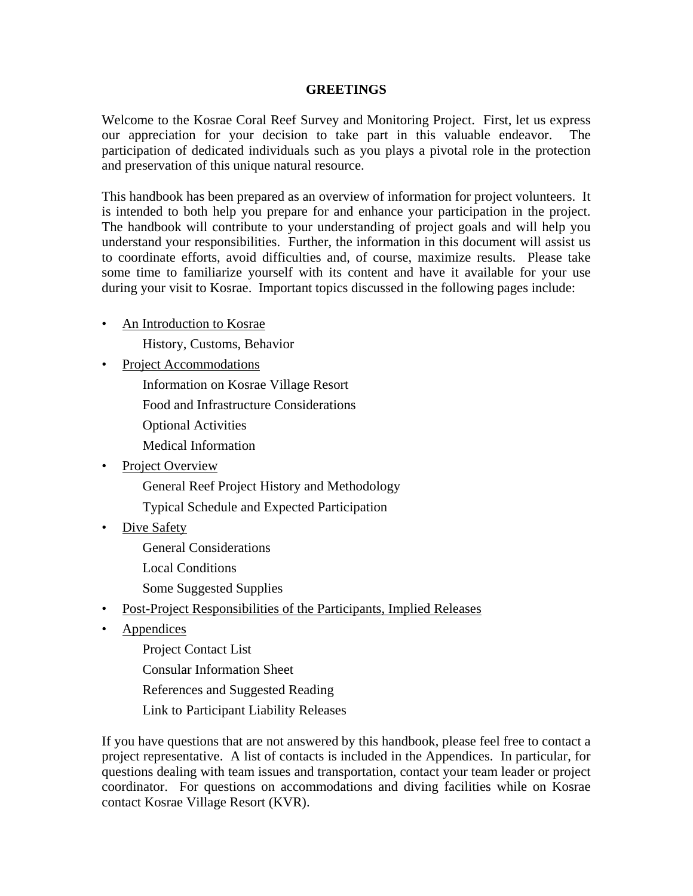### **GREETINGS**

Welcome to the Kosrae Coral Reef Survey and Monitoring Project. First, let us express our appreciation for your decision to take part in this valuable endeavor. The participation of dedicated individuals such as you plays a pivotal role in the protection and preservation of this unique natural resource.

This handbook has been prepared as an overview of information for project volunteers. It is intended to both help you prepare for and enhance your participation in the project. The handbook will contribute to your understanding of project goals and will help you understand your responsibilities. Further, the information in this document will assist us to coordinate efforts, avoid difficulties and, of course, maximize results. Please take some time to familiarize yourself with its content and have it available for your use during your visit to Kosrae. Important topics discussed in the following pages include:

An Introduction to Kosrae

History, Customs, Behavior

• Project Accommodations

Information on Kosrae Village Resort

- Food and Infrastructure Considerations
- Optional Activities
- Medical Information
- Project Overview

General Reef Project History and Methodology

- Typical Schedule and Expected Participation
- Dive Safety
	- General Considerations
	- Local Conditions
	- Some Suggested Supplies
- Post-Project Responsibilities of the Participants, Implied Releases
- **Appendices**

Project Contact List

Consular Information Sheet

References and Suggested Reading

Link to Participant Liability Releases

If you have questions that are not answered by this handbook, please feel free to contact a project representative. A list of contacts is included in the Appendices. In particular, for questions dealing with team issues and transportation, contact your team leader or project coordinator. For questions on accommodations and diving facilities while on Kosrae contact Kosrae Village Resort (KVR).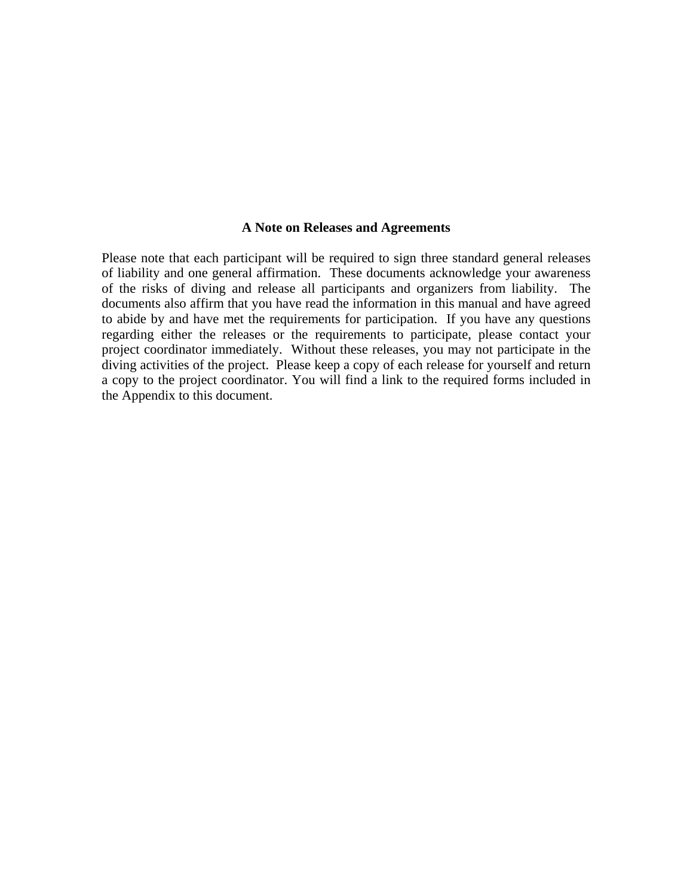#### **A Note on Releases and Agreements**

Please note that each participant will be required to sign three standard general releases of liability and one general affirmation. These documents acknowledge your awareness of the risks of diving and release all participants and organizers from liability. The documents also affirm that you have read the information in this manual and have agreed to abide by and have met the requirements for participation. If you have any questions regarding either the releases or the requirements to participate, please contact your project coordinator immediately. Without these releases, you may not participate in the diving activities of the project. Please keep a copy of each release for yourself and return a copy to the project coordinator. You will find a link to the required forms included in the Appendix to this document.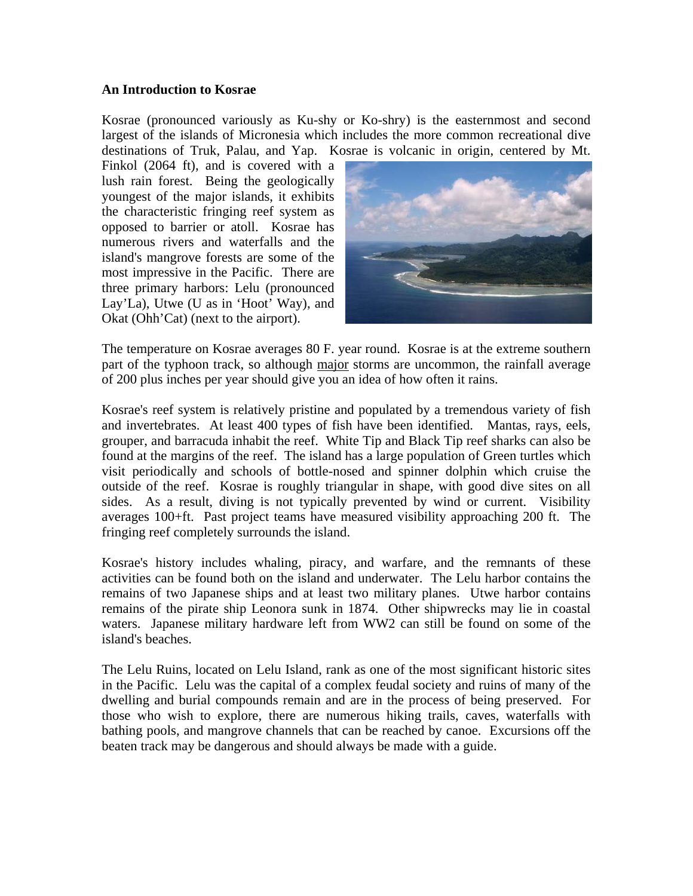#### **An Introduction to Kosrae**

Kosrae (pronounced variously as Ku-shy or Ko-shry) is the easternmost and second largest of the islands of Micronesia which includes the more common recreational dive destinations of Truk, Palau, and Yap. Kosrae is volcanic in origin, centered by Mt.

Finkol (2064 ft), and is covered with a lush rain forest. Being the geologically youngest of the major islands, it exhibits the characteristic fringing reef system as opposed to barrier or atoll. Kosrae has numerous rivers and waterfalls and the island's mangrove forests are some of the most impressive in the Pacific. There are three primary harbors: Lelu (pronounced Lay'La), Utwe (U as in 'Hoot' Way), and Okat (Ohh'Cat) (next to the airport).



The temperature on Kosrae averages 80 F. year round. Kosrae is at the extreme southern part of the typhoon track, so although major storms are uncommon, the rainfall average of 200 plus inches per year should give you an idea of how often it rains.

Kosrae's reef system is relatively pristine and populated by a tremendous variety of fish and invertebrates. At least 400 types of fish have been identified. Mantas, rays, eels, grouper, and barracuda inhabit the reef. White Tip and Black Tip reef sharks can also be found at the margins of the reef. The island has a large population of Green turtles which visit periodically and schools of bottle-nosed and spinner dolphin which cruise the outside of the reef. Kosrae is roughly triangular in shape, with good dive sites on all sides. As a result, diving is not typically prevented by wind or current. Visibility averages 100+ft. Past project teams have measured visibility approaching 200 ft. The fringing reef completely surrounds the island.

Kosrae's history includes whaling, piracy, and warfare, and the remnants of these activities can be found both on the island and underwater. The Lelu harbor contains the remains of two Japanese ships and at least two military planes. Utwe harbor contains remains of the pirate ship Leonora sunk in 1874. Other shipwrecks may lie in coastal waters. Japanese military hardware left from WW2 can still be found on some of the island's beaches.

The Lelu Ruins, located on Lelu Island, rank as one of the most significant historic sites in the Pacific. Lelu was the capital of a complex feudal society and ruins of many of the dwelling and burial compounds remain and are in the process of being preserved. For those who wish to explore, there are numerous hiking trails, caves, waterfalls with bathing pools, and mangrove channels that can be reached by canoe. Excursions off the beaten track may be dangerous and should always be made with a guide.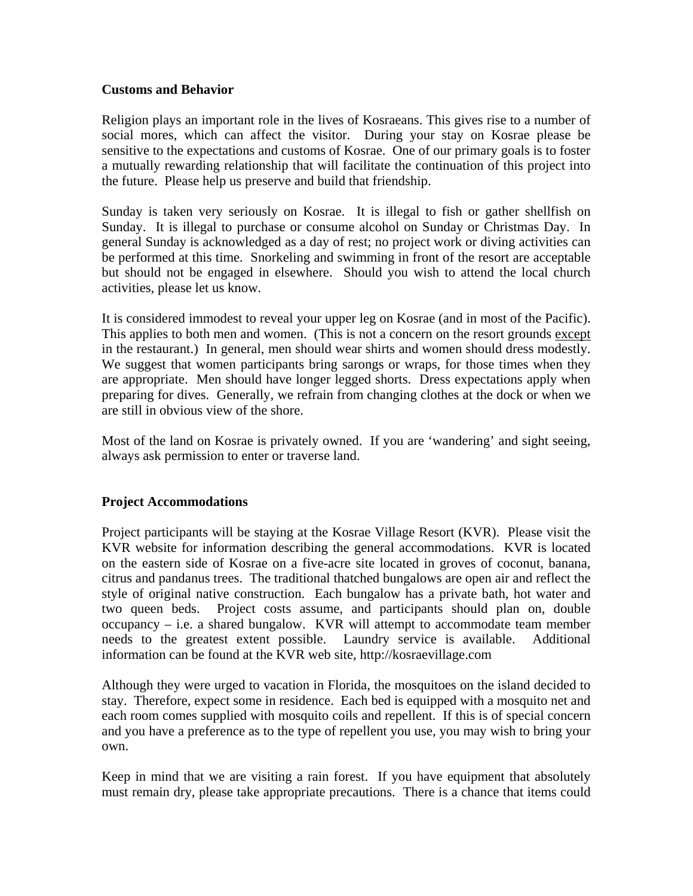## **Customs and Behavior**

Religion plays an important role in the lives of Kosraeans. This gives rise to a number of social mores, which can affect the visitor. During your stay on Kosrae please be sensitive to the expectations and customs of Kosrae. One of our primary goals is to foster a mutually rewarding relationship that will facilitate the continuation of this project into the future. Please help us preserve and build that friendship.

Sunday is taken very seriously on Kosrae. It is illegal to fish or gather shellfish on Sunday. It is illegal to purchase or consume alcohol on Sunday or Christmas Day. In general Sunday is acknowledged as a day of rest; no project work or diving activities can be performed at this time. Snorkeling and swimming in front of the resort are acceptable but should not be engaged in elsewhere. Should you wish to attend the local church activities, please let us know.

It is considered immodest to reveal your upper leg on Kosrae (and in most of the Pacific). This applies to both men and women. (This is not a concern on the resort grounds except in the restaurant.) In general, men should wear shirts and women should dress modestly. We suggest that women participants bring sarongs or wraps, for those times when they are appropriate. Men should have longer legged shorts. Dress expectations apply when preparing for dives. Generally, we refrain from changing clothes at the dock or when we are still in obvious view of the shore.

Most of the land on Kosrae is privately owned. If you are 'wandering' and sight seeing, always ask permission to enter or traverse land.

## **Project Accommodations**

Project participants will be staying at the Kosrae Village Resort (KVR). Please visit the KVR website for information describing the general accommodations. KVR is located on the eastern side of Kosrae on a five-acre site located in groves of coconut, banana, citrus and pandanus trees. The traditional thatched bungalows are open air and reflect the style of original native construction. Each bungalow has a private bath, hot water and two queen beds. Project costs assume, and participants should plan on, double occupancy – i.e. a shared bungalow. KVR will attempt to accommodate team member needs to the greatest extent possible. Laundry service is available. Additional information can be found at the KVR web site, http://kosraevillage.com

Although they were urged to vacation in Florida, the mosquitoes on the island decided to stay. Therefore, expect some in residence. Each bed is equipped with a mosquito net and each room comes supplied with mosquito coils and repellent. If this is of special concern and you have a preference as to the type of repellent you use, you may wish to bring your own.

Keep in mind that we are visiting a rain forest. If you have equipment that absolutely must remain dry, please take appropriate precautions. There is a chance that items could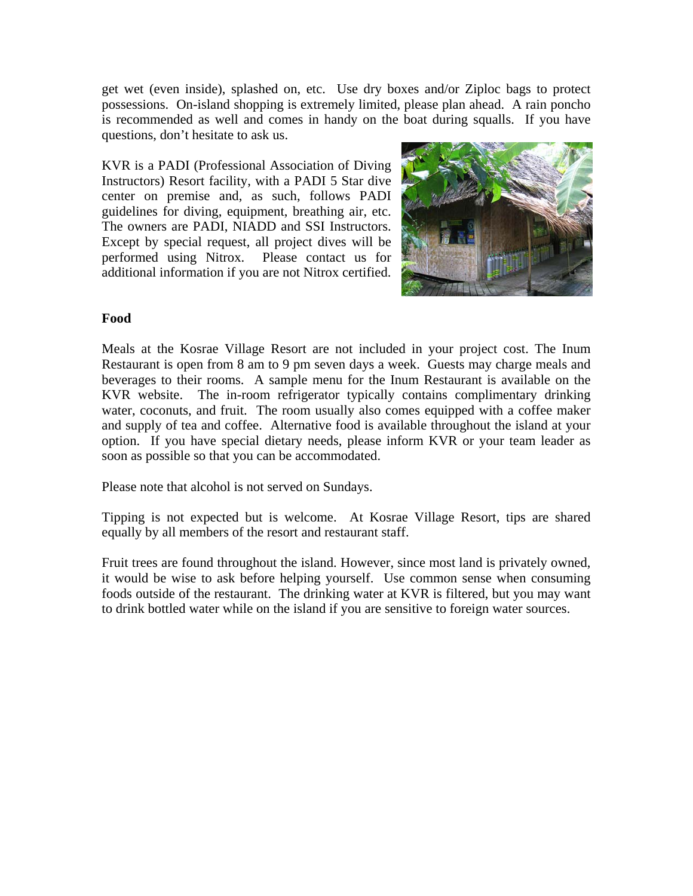get wet (even inside), splashed on, etc. Use dry boxes and/or Ziploc bags to protect possessions. On-island shopping is extremely limited, please plan ahead. A rain poncho is recommended as well and comes in handy on the boat during squalls. If you have questions, don't hesitate to ask us.

KVR is a PADI (Professional Association of Diving Instructors) Resort facility, with a PADI 5 Star dive center on premise and, as such, follows PADI guidelines for diving, equipment, breathing air, etc. The owners are PADI, NIADD and SSI Instructors. Except by special request, all project dives will be performed using Nitrox. Please contact us for additional information if you are not Nitrox certified.



## **Food**

Meals at the Kosrae Village Resort are not included in your project cost. The Inum Restaurant is open from 8 am to 9 pm seven days a week. Guests may charge meals and beverages to their rooms. A sample menu for the Inum Restaurant is available on the KVR website. The in-room refrigerator typically contains complimentary drinking water, coconuts, and fruit. The room usually also comes equipped with a coffee maker and supply of tea and coffee. Alternative food is available throughout the island at your option. If you have special dietary needs, please inform KVR or your team leader as soon as possible so that you can be accommodated.

Please note that alcohol is not served on Sundays.

Tipping is not expected but is welcome. At Kosrae Village Resort, tips are shared equally by all members of the resort and restaurant staff.

Fruit trees are found throughout the island. However, since most land is privately owned, it would be wise to ask before helping yourself. Use common sense when consuming foods outside of the restaurant. The drinking water at KVR is filtered, but you may want to drink bottled water while on the island if you are sensitive to foreign water sources.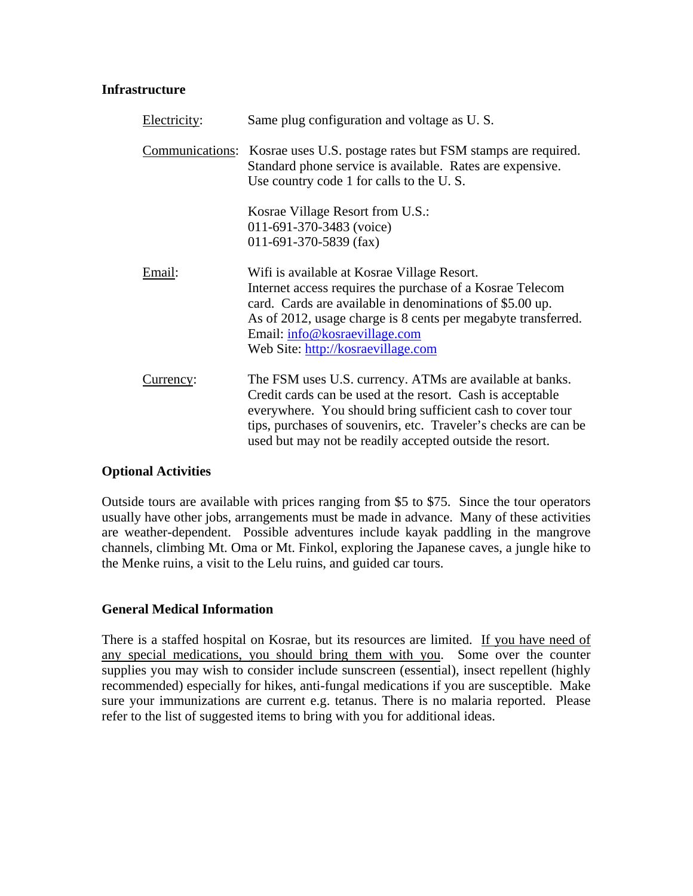### **Infrastructure**

| Electricity: | Same plug configuration and voltage as U.S.                                                                                                                                                                                                                                                                         |
|--------------|---------------------------------------------------------------------------------------------------------------------------------------------------------------------------------------------------------------------------------------------------------------------------------------------------------------------|
|              | Communications: Kosrae uses U.S. postage rates but FSM stamps are required.<br>Standard phone service is available. Rates are expensive.<br>Use country code 1 for calls to the U.S.                                                                                                                                |
|              | Kosrae Village Resort from U.S.:<br>011-691-370-3483 (voice)<br>$011-691-370-5839$ (fax)                                                                                                                                                                                                                            |
| Email:       | Wifi is available at Kosrae Village Resort.<br>Internet access requires the purchase of a Kosrae Telecom<br>card. Cards are available in denominations of \$5.00 up.<br>As of 2012, usage charge is 8 cents per megabyte transferred.<br>Email: info@kosraevillage.com<br>Web Site: http://kosraevillage.com        |
| Currency:    | The FSM uses U.S. currency. ATMs are available at banks.<br>Credit cards can be used at the resort. Cash is acceptable<br>everywhere. You should bring sufficient cash to cover tour<br>tips, purchases of souvenirs, etc. Traveler's checks are can be<br>used but may not be readily accepted outside the resort. |

### **Optional Activities**

Outside tours are available with prices ranging from \$5 to \$75. Since the tour operators usually have other jobs, arrangements must be made in advance. Many of these activities are weather-dependent. Possible adventures include kayak paddling in the mangrove channels, climbing Mt. Oma or Mt. Finkol, exploring the Japanese caves, a jungle hike to the Menke ruins, a visit to the Lelu ruins, and guided car tours.

### **General Medical Information**

There is a staffed hospital on Kosrae, but its resources are limited. If you have need of any special medications, you should bring them with you. Some over the counter supplies you may wish to consider include sunscreen (essential), insect repellent (highly recommended) especially for hikes, anti-fungal medications if you are susceptible. Make sure your immunizations are current e.g. tetanus. There is no malaria reported. Please refer to the list of suggested items to bring with you for additional ideas.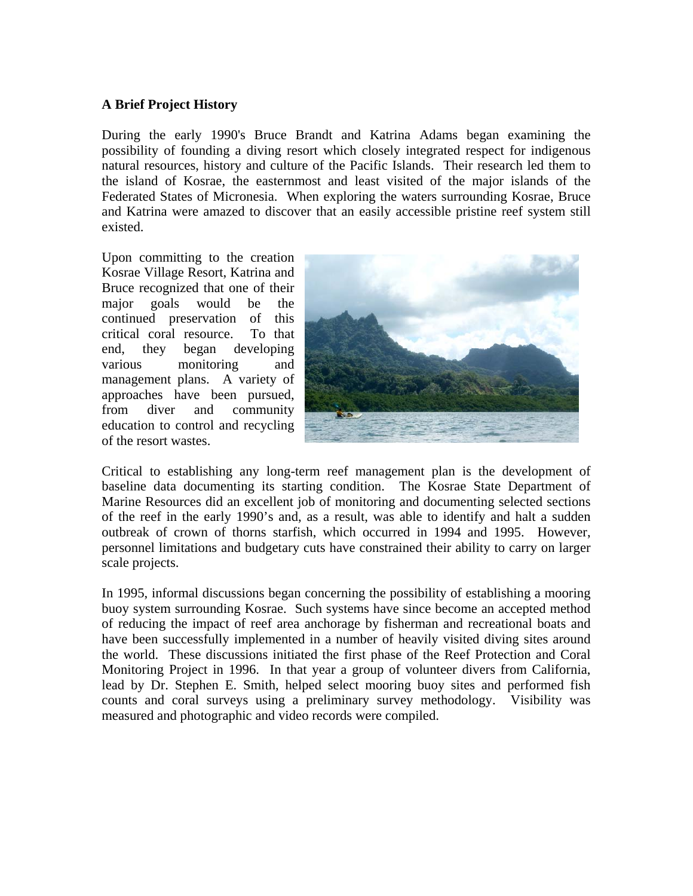## **A Brief Project History**

During the early 1990's Bruce Brandt and Katrina Adams began examining the possibility of founding a diving resort which closely integrated respect for indigenous natural resources, history and culture of the Pacific Islands. Their research led them to the island of Kosrae, the easternmost and least visited of the major islands of the Federated States of Micronesia. When exploring the waters surrounding Kosrae, Bruce and Katrina were amazed to discover that an easily accessible pristine reef system still existed.

Upon committing to the creation Kosrae Village Resort, Katrina and Bruce recognized that one of their major goals would be the continued preservation of this critical coral resource. To that end, they began developing various monitoring and management plans. A variety of approaches have been pursued, from diver and community education to control and recycling of the resort wastes.



Critical to establishing any long-term reef management plan is the development of baseline data documenting its starting condition. The Kosrae State Department of Marine Resources did an excellent job of monitoring and documenting selected sections of the reef in the early 1990's and, as a result, was able to identify and halt a sudden outbreak of crown of thorns starfish, which occurred in 1994 and 1995. However, personnel limitations and budgetary cuts have constrained their ability to carry on larger scale projects.

In 1995, informal discussions began concerning the possibility of establishing a mooring buoy system surrounding Kosrae. Such systems have since become an accepted method of reducing the impact of reef area anchorage by fisherman and recreational boats and have been successfully implemented in a number of heavily visited diving sites around the world. These discussions initiated the first phase of the Reef Protection and Coral Monitoring Project in 1996. In that year a group of volunteer divers from California, lead by Dr. Stephen E. Smith, helped select mooring buoy sites and performed fish counts and coral surveys using a preliminary survey methodology. Visibility was measured and photographic and video records were compiled.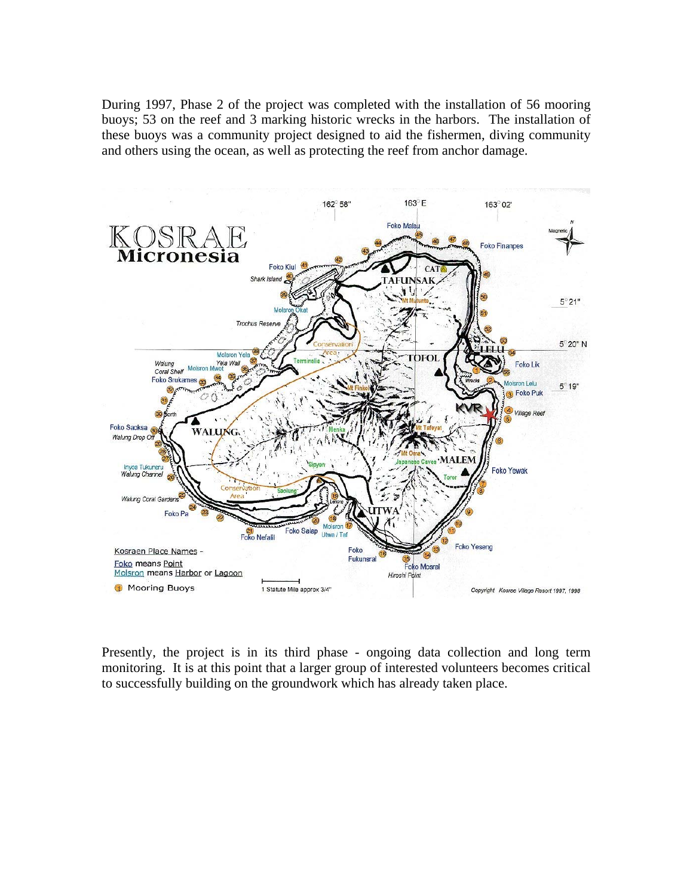During 1997, Phase 2 of the project was completed with the installation of 56 mooring buoys; 53 on the reef and 3 marking historic wrecks in the harbors. The installation of these buoys was a community project designed to aid the fishermen, diving community and others using the ocean, as well as protecting the reef from anchor damage.



Presently, the project is in its third phase - ongoing data collection and long term monitoring. It is at this point that a larger group of interested volunteers becomes critical to successfully building on the groundwork which has already taken place.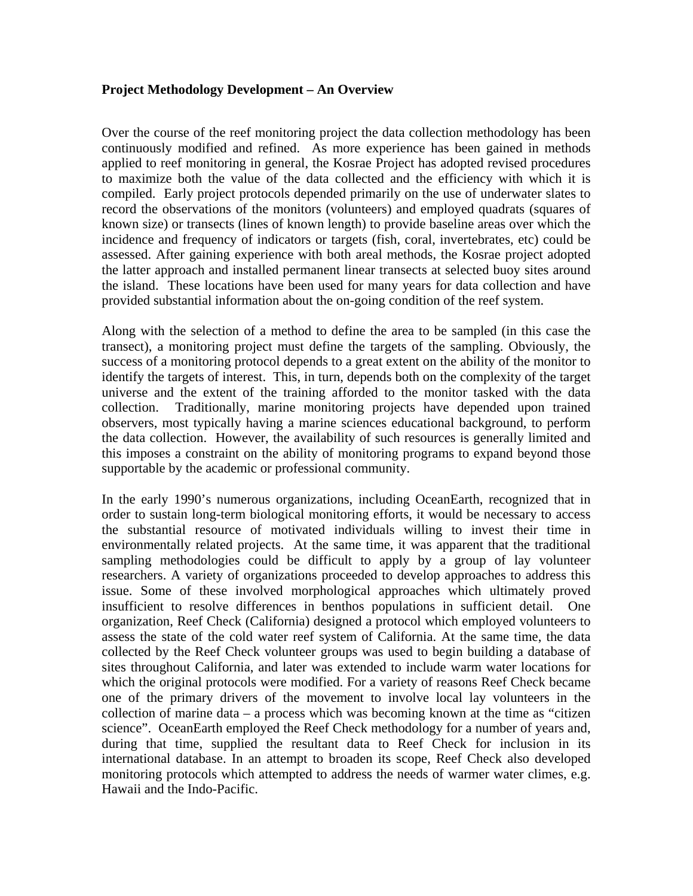### **Project Methodology Development – An Overview**

Over the course of the reef monitoring project the data collection methodology has been continuously modified and refined. As more experience has been gained in methods applied to reef monitoring in general, the Kosrae Project has adopted revised procedures to maximize both the value of the data collected and the efficiency with which it is compiled. Early project protocols depended primarily on the use of underwater slates to record the observations of the monitors (volunteers) and employed quadrats (squares of known size) or transects (lines of known length) to provide baseline areas over which the incidence and frequency of indicators or targets (fish, coral, invertebrates, etc) could be assessed. After gaining experience with both areal methods, the Kosrae project adopted the latter approach and installed permanent linear transects at selected buoy sites around the island. These locations have been used for many years for data collection and have provided substantial information about the on-going condition of the reef system.

Along with the selection of a method to define the area to be sampled (in this case the transect), a monitoring project must define the targets of the sampling. Obviously, the success of a monitoring protocol depends to a great extent on the ability of the monitor to identify the targets of interest. This, in turn, depends both on the complexity of the target universe and the extent of the training afforded to the monitor tasked with the data collection. Traditionally, marine monitoring projects have depended upon trained observers, most typically having a marine sciences educational background, to perform the data collection. However, the availability of such resources is generally limited and this imposes a constraint on the ability of monitoring programs to expand beyond those supportable by the academic or professional community.

In the early 1990's numerous organizations, including OceanEarth, recognized that in order to sustain long-term biological monitoring efforts, it would be necessary to access the substantial resource of motivated individuals willing to invest their time in environmentally related projects. At the same time, it was apparent that the traditional sampling methodologies could be difficult to apply by a group of lay volunteer researchers. A variety of organizations proceeded to develop approaches to address this issue. Some of these involved morphological approaches which ultimately proved insufficient to resolve differences in benthos populations in sufficient detail. One organization, Reef Check (California) designed a protocol which employed volunteers to assess the state of the cold water reef system of California. At the same time, the data collected by the Reef Check volunteer groups was used to begin building a database of sites throughout California, and later was extended to include warm water locations for which the original protocols were modified. For a variety of reasons Reef Check became one of the primary drivers of the movement to involve local lay volunteers in the collection of marine data – a process which was becoming known at the time as "citizen science". OceanEarth employed the Reef Check methodology for a number of years and, during that time, supplied the resultant data to Reef Check for inclusion in its international database. In an attempt to broaden its scope, Reef Check also developed monitoring protocols which attempted to address the needs of warmer water climes, e.g. Hawaii and the Indo-Pacific.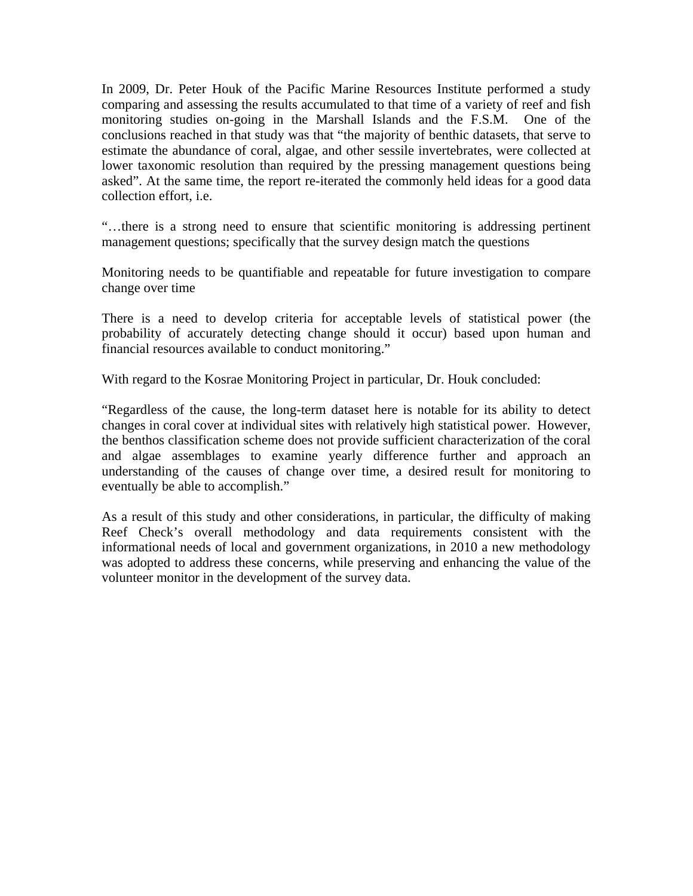In 2009, Dr. Peter Houk of the Pacific Marine Resources Institute performed a study comparing and assessing the results accumulated to that time of a variety of reef and fish monitoring studies on-going in the Marshall Islands and the F.S.M. One of the conclusions reached in that study was that "the majority of benthic datasets, that serve to estimate the abundance of coral, algae, and other sessile invertebrates, were collected at lower taxonomic resolution than required by the pressing management questions being asked". At the same time, the report re-iterated the commonly held ideas for a good data collection effort, i.e.

"…there is a strong need to ensure that scientific monitoring is addressing pertinent management questions; specifically that the survey design match the questions

Monitoring needs to be quantifiable and repeatable for future investigation to compare change over time

There is a need to develop criteria for acceptable levels of statistical power (the probability of accurately detecting change should it occur) based upon human and financial resources available to conduct monitoring."

With regard to the Kosrae Monitoring Project in particular, Dr. Houk concluded:

"Regardless of the cause, the long-term dataset here is notable for its ability to detect changes in coral cover at individual sites with relatively high statistical power. However, the benthos classification scheme does not provide sufficient characterization of the coral and algae assemblages to examine yearly difference further and approach an understanding of the causes of change over time, a desired result for monitoring to eventually be able to accomplish."

As a result of this study and other considerations, in particular, the difficulty of making Reef Check's overall methodology and data requirements consistent with the informational needs of local and government organizations, in 2010 a new methodology was adopted to address these concerns, while preserving and enhancing the value of the volunteer monitor in the development of the survey data.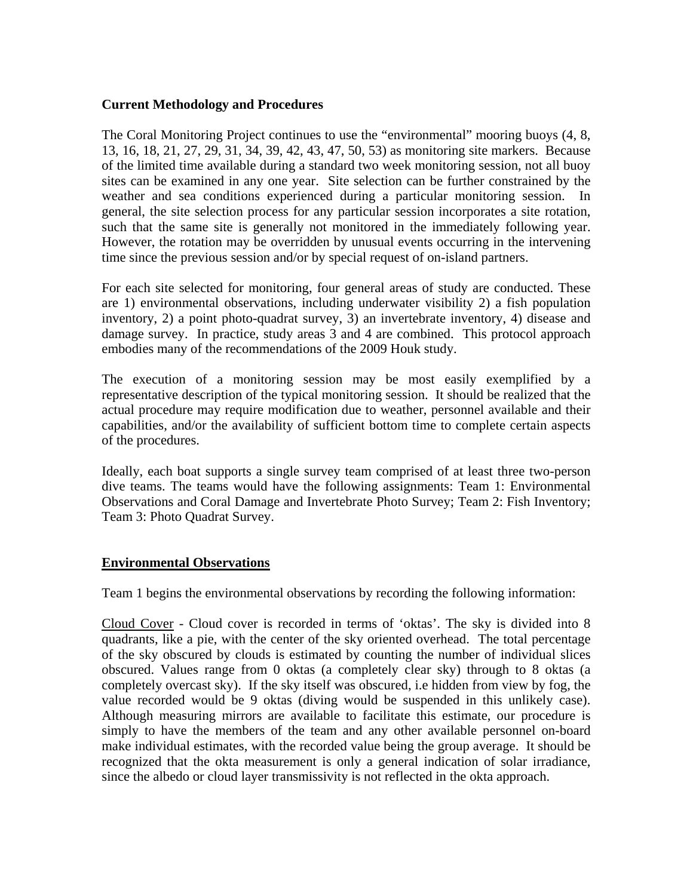### **Current Methodology and Procedures**

The Coral Monitoring Project continues to use the "environmental" mooring buoys (4, 8, 13, 16, 18, 21, 27, 29, 31, 34, 39, 42, 43, 47, 50, 53) as monitoring site markers. Because of the limited time available during a standard two week monitoring session, not all buoy sites can be examined in any one year. Site selection can be further constrained by the weather and sea conditions experienced during a particular monitoring session. In general, the site selection process for any particular session incorporates a site rotation, such that the same site is generally not monitored in the immediately following year. However, the rotation may be overridden by unusual events occurring in the intervening time since the previous session and/or by special request of on-island partners.

For each site selected for monitoring, four general areas of study are conducted. These are 1) environmental observations, including underwater visibility 2) a fish population inventory, 2) a point photo-quadrat survey, 3) an invertebrate inventory, 4) disease and damage survey. In practice, study areas 3 and 4 are combined. This protocol approach embodies many of the recommendations of the 2009 Houk study.

The execution of a monitoring session may be most easily exemplified by a representative description of the typical monitoring session. It should be realized that the actual procedure may require modification due to weather, personnel available and their capabilities, and/or the availability of sufficient bottom time to complete certain aspects of the procedures.

Ideally, each boat supports a single survey team comprised of at least three two-person dive teams. The teams would have the following assignments: Team 1: Environmental Observations and Coral Damage and Invertebrate Photo Survey; Team 2: Fish Inventory; Team 3: Photo Quadrat Survey.

### **Environmental Observations**

Team 1 begins the environmental observations by recording the following information:

Cloud Cover - Cloud cover is recorded in terms of 'oktas'. The sky is divided into 8 quadrants, like a pie, with the center of the sky oriented overhead. The total percentage of the sky obscured by clouds is estimated by counting the number of individual slices obscured. Values range from 0 oktas (a completely clear sky) through to 8 oktas (a completely overcast sky). If the sky itself was obscured, i.e hidden from view by fog, the value recorded would be 9 oktas (diving would be suspended in this unlikely case). Although measuring mirrors are available to facilitate this estimate, our procedure is simply to have the members of the team and any other available personnel on-board make individual estimates, with the recorded value being the group average. It should be recognized that the okta measurement is only a general indication of solar irradiance, since the albedo or cloud layer transmissivity is not reflected in the okta approach.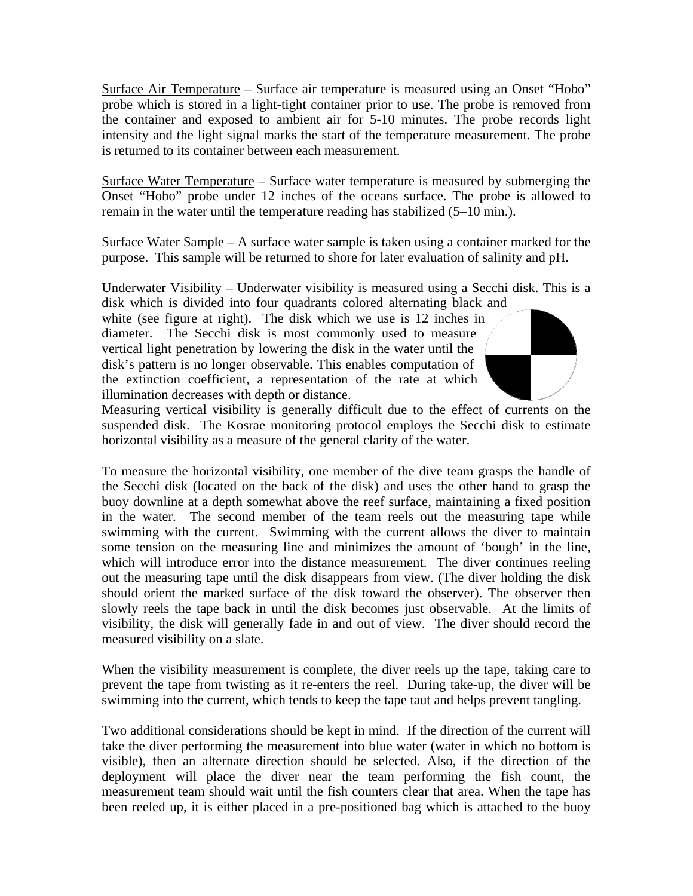Surface Air Temperature – Surface air temperature is measured using an Onset "Hobo" probe which is stored in a light-tight container prior to use. The probe is removed from the container and exposed to ambient air for 5-10 minutes. The probe records light intensity and the light signal marks the start of the temperature measurement. The probe is returned to its container between each measurement.

Surface Water Temperature – Surface water temperature is measured by submerging the Onset "Hobo" probe under 12 inches of the oceans surface. The probe is allowed to remain in the water until the temperature reading has stabilized (5–10 min.).

Surface Water Sample – A surface water sample is taken using a container marked for the purpose. This sample will be returned to shore for later evaluation of salinity and pH.

Underwater Visibility – Underwater visibility is measured using a Secchi disk. This is a disk which is divided into four quadrants colored alternating black and

white (see figure at right). The disk which we use is 12 inches in diameter. The Secchi disk is most commonly used to measure vertical light penetration by lowering the disk in the water until the disk's pattern is no longer observable. This enables computation of the extinction coefficient, a representation of the rate at which illumination decreases with depth or distance.



Measuring vertical visibility is generally difficult due to the effect of currents on the suspended disk. The Kosrae monitoring protocol employs the Secchi disk to estimate horizontal visibility as a measure of the general clarity of the water.

To measure the horizontal visibility, one member of the dive team grasps the handle of the Secchi disk (located on the back of the disk) and uses the other hand to grasp the buoy downline at a depth somewhat above the reef surface, maintaining a fixed position in the water. The second member of the team reels out the measuring tape while swimming with the current. Swimming with the current allows the diver to maintain some tension on the measuring line and minimizes the amount of 'bough' in the line, which will introduce error into the distance measurement. The diver continues reeling out the measuring tape until the disk disappears from view. (The diver holding the disk should orient the marked surface of the disk toward the observer). The observer then slowly reels the tape back in until the disk becomes just observable. At the limits of visibility, the disk will generally fade in and out of view. The diver should record the measured visibility on a slate.

When the visibility measurement is complete, the diver reels up the tape, taking care to prevent the tape from twisting as it re-enters the reel. During take-up, the diver will be swimming into the current, which tends to keep the tape taut and helps prevent tangling.

Two additional considerations should be kept in mind. If the direction of the current will take the diver performing the measurement into blue water (water in which no bottom is visible), then an alternate direction should be selected. Also, if the direction of the deployment will place the diver near the team performing the fish count, the measurement team should wait until the fish counters clear that area. When the tape has been reeled up, it is either placed in a pre-positioned bag which is attached to the buoy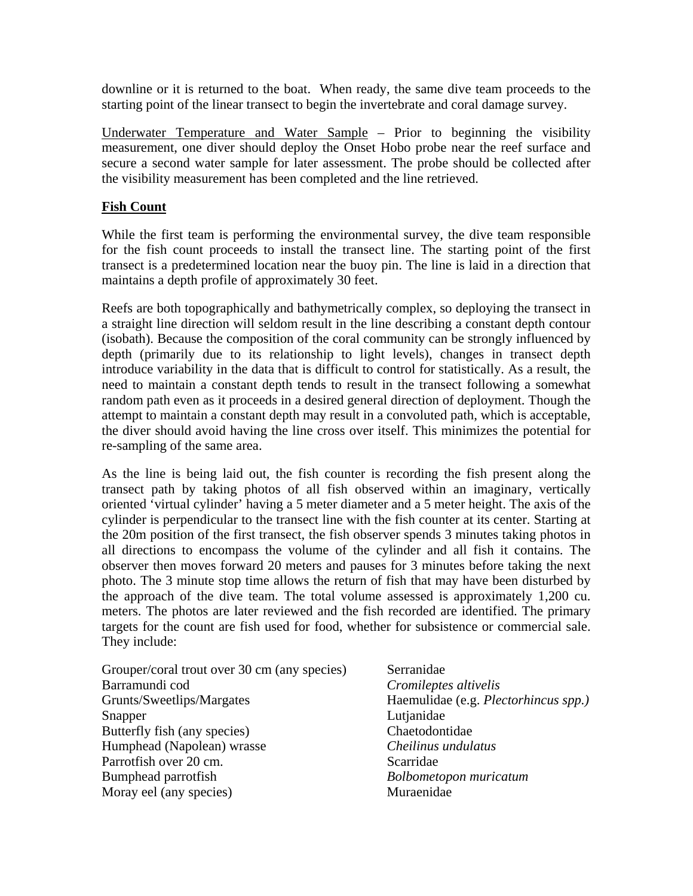downline or it is returned to the boat. When ready, the same dive team proceeds to the starting point of the linear transect to begin the invertebrate and coral damage survey.

Underwater Temperature and Water Sample – Prior to beginning the visibility measurement, one diver should deploy the Onset Hobo probe near the reef surface and secure a second water sample for later assessment. The probe should be collected after the visibility measurement has been completed and the line retrieved.

## **Fish Count**

While the first team is performing the environmental survey, the dive team responsible for the fish count proceeds to install the transect line. The starting point of the first transect is a predetermined location near the buoy pin. The line is laid in a direction that maintains a depth profile of approximately 30 feet.

Reefs are both topographically and bathymetrically complex, so deploying the transect in a straight line direction will seldom result in the line describing a constant depth contour (isobath). Because the composition of the coral community can be strongly influenced by depth (primarily due to its relationship to light levels), changes in transect depth introduce variability in the data that is difficult to control for statistically. As a result, the need to maintain a constant depth tends to result in the transect following a somewhat random path even as it proceeds in a desired general direction of deployment. Though the attempt to maintain a constant depth may result in a convoluted path, which is acceptable, the diver should avoid having the line cross over itself. This minimizes the potential for re-sampling of the same area.

As the line is being laid out, the fish counter is recording the fish present along the transect path by taking photos of all fish observed within an imaginary, vertically oriented 'virtual cylinder' having a 5 meter diameter and a 5 meter height. The axis of the cylinder is perpendicular to the transect line with the fish counter at its center. Starting at the 20m position of the first transect, the fish observer spends 3 minutes taking photos in all directions to encompass the volume of the cylinder and all fish it contains. The observer then moves forward 20 meters and pauses for 3 minutes before taking the next photo. The 3 minute stop time allows the return of fish that may have been disturbed by the approach of the dive team. The total volume assessed is approximately 1,200 cu. meters. The photos are later reviewed and the fish recorded are identified. The primary targets for the count are fish used for food, whether for subsistence or commercial sale. They include:

| Serranidae                                  |
|---------------------------------------------|
| Cromileptes altivelis                       |
| Haemulidae (e.g. <i>Plectorhincus spp.)</i> |
| Lutjanidae                                  |
| Chaetodontidae                              |
| Cheilinus undulatus                         |
| Scarridae                                   |
| <b>Bolbometopon</b> muricatum               |
| Muraenidae                                  |
|                                             |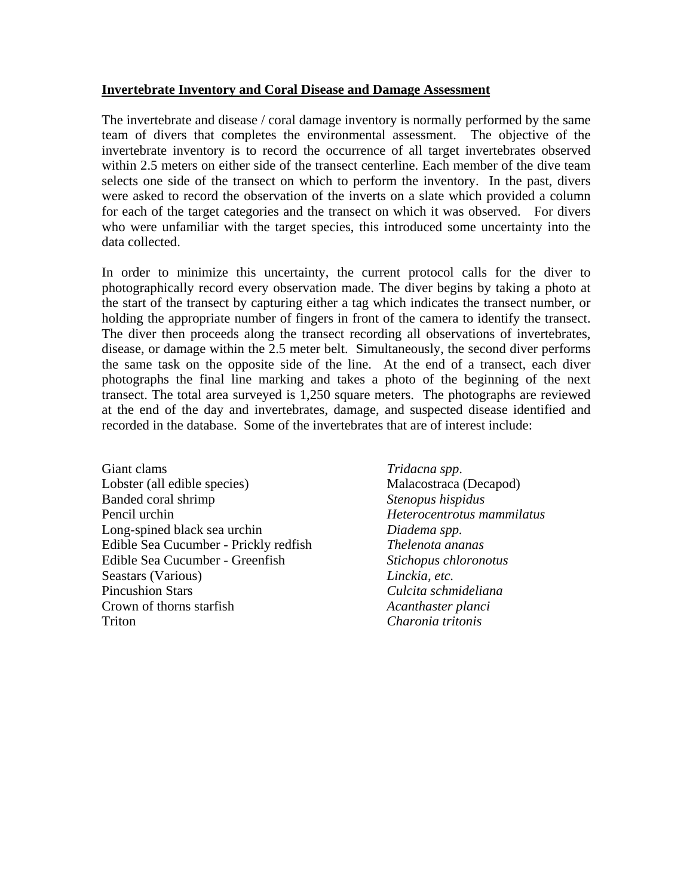### **Invertebrate Inventory and Coral Disease and Damage Assessment**

The invertebrate and disease / coral damage inventory is normally performed by the same team of divers that completes the environmental assessment. The objective of the invertebrate inventory is to record the occurrence of all target invertebrates observed within 2.5 meters on either side of the transect centerline. Each member of the dive team selects one side of the transect on which to perform the inventory. In the past, divers were asked to record the observation of the inverts on a slate which provided a column for each of the target categories and the transect on which it was observed. For divers who were unfamiliar with the target species, this introduced some uncertainty into the data collected.

In order to minimize this uncertainty, the current protocol calls for the diver to photographically record every observation made. The diver begins by taking a photo at the start of the transect by capturing either a tag which indicates the transect number, or holding the appropriate number of fingers in front of the camera to identify the transect. The diver then proceeds along the transect recording all observations of invertebrates, disease, or damage within the 2.5 meter belt. Simultaneously, the second diver performs the same task on the opposite side of the line. At the end of a transect, each diver photographs the final line marking and takes a photo of the beginning of the next transect. The total area surveyed is 1,250 square meters. The photographs are reviewed at the end of the day and invertebrates, damage, and suspected disease identified and recorded in the database. Some of the invertebrates that are of interest include:

- Giant clams *Tridacna spp.* Lobster (all edible species) Malacostraca (Decapod) Banded coral shrimp *Stenopus hispidus* Pencil urchin *Heterocentrotus mammilatus*  Long-spined black sea urchin *Diadema spp.* Edible Sea Cucumber - Prickly redfish *Thelenota ananas*  Edible Sea Cucumber - Greenfish *Stichopus chloronotus* Seastars (Various) *Linckia, etc.* Pincushion Stars *Culcita schmideliana* Crown of thorns starfish *Acanthaster planci* Triton *Charonia tritonis*
	-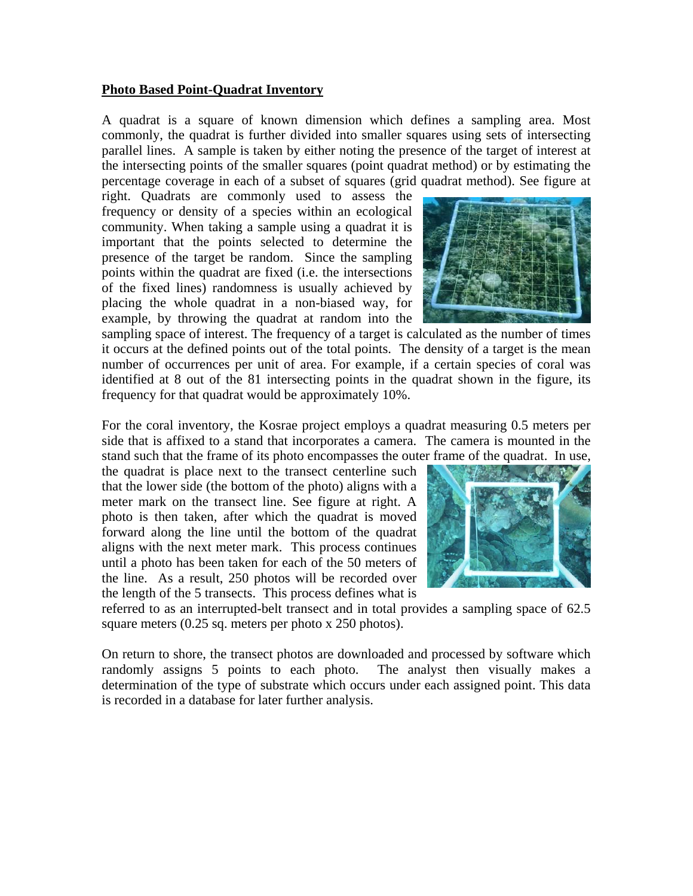#### **Photo Based Point-Quadrat Inventory**

A quadrat is a square of known dimension which defines a sampling area. Most commonly, the quadrat is further divided into smaller squares using sets of intersecting parallel lines. A sample is taken by either noting the presence of the target of interest at the intersecting points of the smaller squares (point quadrat method) or by estimating the percentage coverage in each of a subset of squares (grid quadrat method). See figure at

right. Quadrats are commonly used to assess the frequency or density of a species within an ecological community. When taking a sample using a quadrat it is important that the points selected to determine the presence of the target be random. Since the sampling points within the quadrat are fixed (i.e. the intersections of the fixed lines) randomness is usually achieved by placing the whole quadrat in a non-biased way, for example, by throwing the quadrat at random into the



sampling space of interest. The frequency of a target is calculated as the number of times it occurs at the defined points out of the total points. The density of a target is the mean number of occurrences per unit of area. For example, if a certain species of coral was identified at 8 out of the 81 intersecting points in the quadrat shown in the figure, its frequency for that quadrat would be approximately 10%.

For the coral inventory, the Kosrae project employs a quadrat measuring 0.5 meters per side that is affixed to a stand that incorporates a camera. The camera is mounted in the stand such that the frame of its photo encompasses the outer frame of the quadrat. In use,

the quadrat is place next to the transect centerline such that the lower side (the bottom of the photo) aligns with a meter mark on the transect line. See figure at right. A photo is then taken, after which the quadrat is moved forward along the line until the bottom of the quadrat aligns with the next meter mark. This process continues until a photo has been taken for each of the 50 meters of the line. As a result, 250 photos will be recorded over the length of the 5 transects. This process defines what is



referred to as an interrupted-belt transect and in total provides a sampling space of 62.5 square meters (0.25 sq. meters per photo x 250 photos).

On return to shore, the transect photos are downloaded and processed by software which randomly assigns 5 points to each photo. The analyst then visually makes a determination of the type of substrate which occurs under each assigned point. This data is recorded in a database for later further analysis.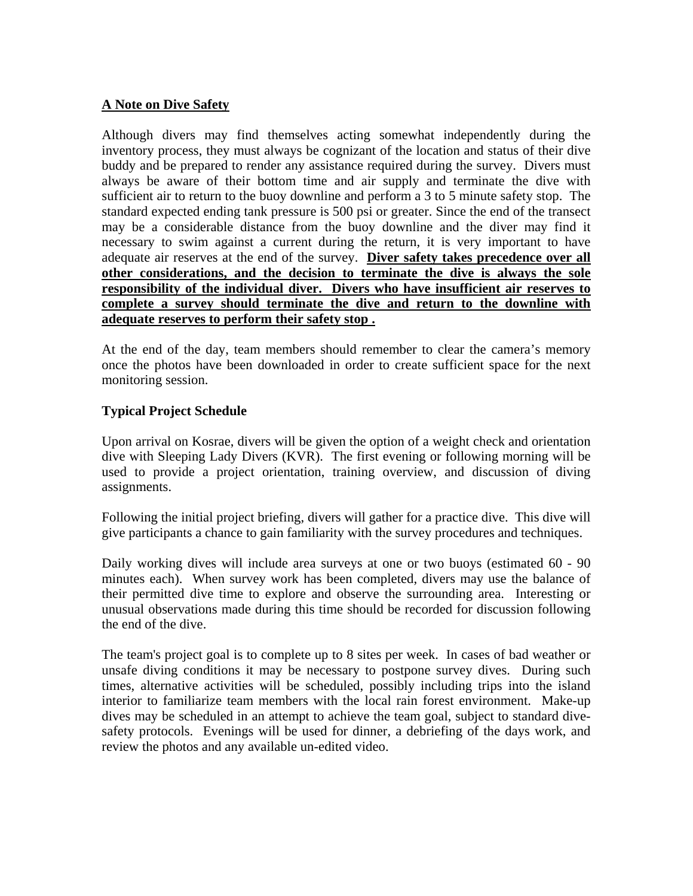## **A Note on Dive Safety**

Although divers may find themselves acting somewhat independently during the inventory process, they must always be cognizant of the location and status of their dive buddy and be prepared to render any assistance required during the survey. Divers must always be aware of their bottom time and air supply and terminate the dive with sufficient air to return to the buoy downline and perform a 3 to 5 minute safety stop. The standard expected ending tank pressure is 500 psi or greater. Since the end of the transect may be a considerable distance from the buoy downline and the diver may find it necessary to swim against a current during the return, it is very important to have adequate air reserves at the end of the survey. **Diver safety takes precedence over all other considerations, and the decision to terminate the dive is always the sole responsibility of the individual diver. Divers who have insufficient air reserves to complete a survey should terminate the dive and return to the downline with adequate reserves to perform their safety stop .**

At the end of the day, team members should remember to clear the camera's memory once the photos have been downloaded in order to create sufficient space for the next monitoring session.

## **Typical Project Schedule**

Upon arrival on Kosrae, divers will be given the option of a weight check and orientation dive with Sleeping Lady Divers (KVR). The first evening or following morning will be used to provide a project orientation, training overview, and discussion of diving assignments.

Following the initial project briefing, divers will gather for a practice dive. This dive will give participants a chance to gain familiarity with the survey procedures and techniques.

Daily working dives will include area surveys at one or two buoys (estimated 60 - 90 minutes each). When survey work has been completed, divers may use the balance of their permitted dive time to explore and observe the surrounding area. Interesting or unusual observations made during this time should be recorded for discussion following the end of the dive.

The team's project goal is to complete up to 8 sites per week. In cases of bad weather or unsafe diving conditions it may be necessary to postpone survey dives. During such times, alternative activities will be scheduled, possibly including trips into the island interior to familiarize team members with the local rain forest environment. Make-up dives may be scheduled in an attempt to achieve the team goal, subject to standard divesafety protocols. Evenings will be used for dinner, a debriefing of the days work, and review the photos and any available un-edited video.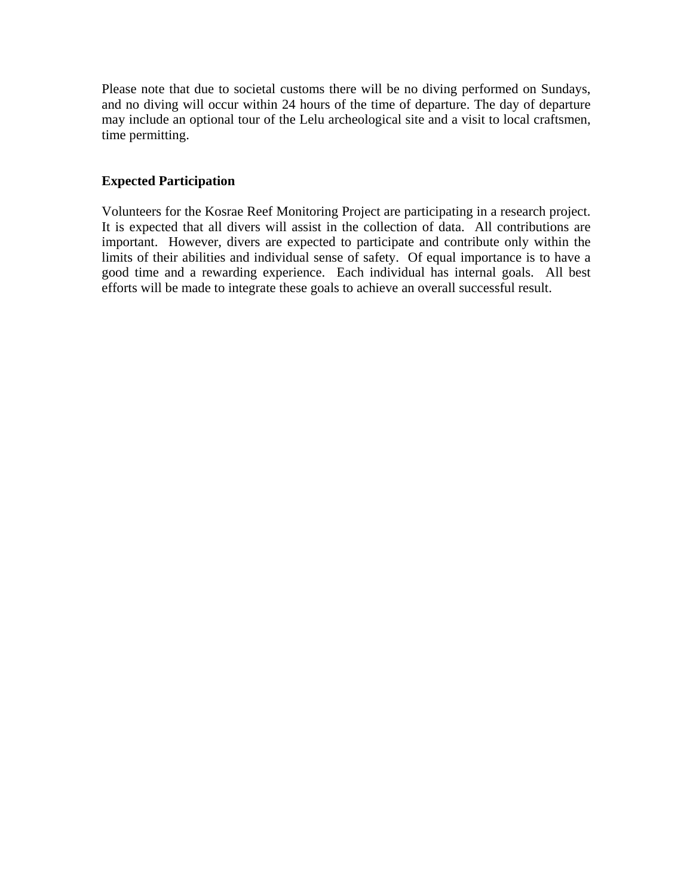Please note that due to societal customs there will be no diving performed on Sundays, and no diving will occur within 24 hours of the time of departure. The day of departure may include an optional tour of the Lelu archeological site and a visit to local craftsmen, time permitting.

## **Expected Participation**

Volunteers for the Kosrae Reef Monitoring Project are participating in a research project. It is expected that all divers will assist in the collection of data. All contributions are important. However, divers are expected to participate and contribute only within the limits of their abilities and individual sense of safety. Of equal importance is to have a good time and a rewarding experience. Each individual has internal goals. All best efforts will be made to integrate these goals to achieve an overall successful result.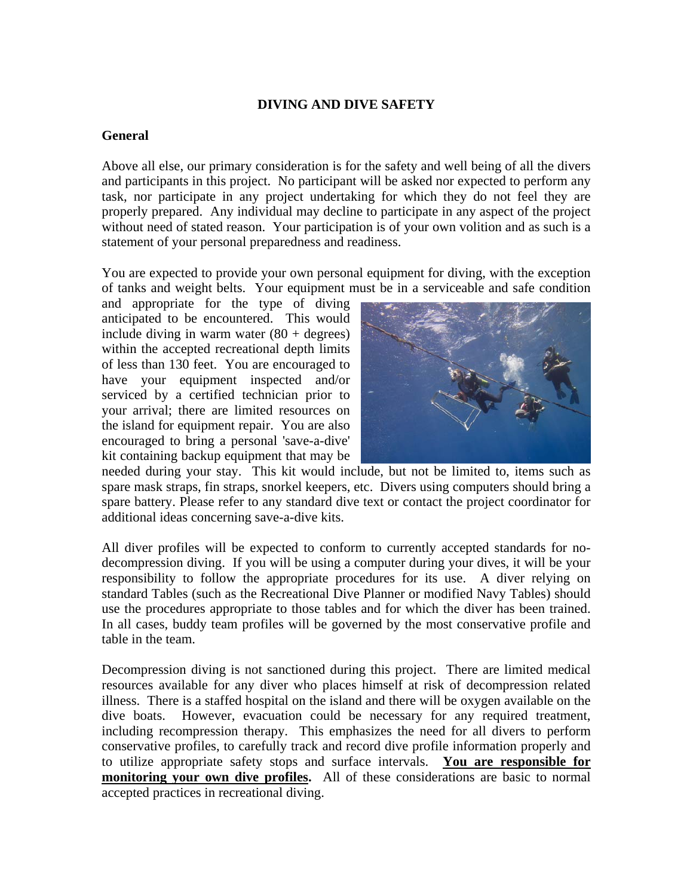### **DIVING AND DIVE SAFETY**

#### **General**

Above all else, our primary consideration is for the safety and well being of all the divers and participants in this project. No participant will be asked nor expected to perform any task, nor participate in any project undertaking for which they do not feel they are properly prepared. Any individual may decline to participate in any aspect of the project without need of stated reason. Your participation is of your own volition and as such is a statement of your personal preparedness and readiness.

You are expected to provide your own personal equipment for diving, with the exception of tanks and weight belts. Your equipment must be in a serviceable and safe condition

and appropriate for the type of diving anticipated to be encountered. This would include diving in warm water  $(80 + \text{degrees})$ within the accepted recreational depth limits of less than 130 feet. You are encouraged to have your equipment inspected and/or serviced by a certified technician prior to your arrival; there are limited resources on the island for equipment repair. You are also encouraged to bring a personal 'save-a-dive' kit containing backup equipment that may be



needed during your stay. This kit would include, but not be limited to, items such as spare mask straps, fin straps, snorkel keepers, etc. Divers using computers should bring a spare battery. Please refer to any standard dive text or contact the project coordinator for additional ideas concerning save-a-dive kits.

All diver profiles will be expected to conform to currently accepted standards for nodecompression diving. If you will be using a computer during your dives, it will be your responsibility to follow the appropriate procedures for its use. A diver relying on standard Tables (such as the Recreational Dive Planner or modified Navy Tables) should use the procedures appropriate to those tables and for which the diver has been trained. In all cases, buddy team profiles will be governed by the most conservative profile and table in the team.

Decompression diving is not sanctioned during this project. There are limited medical resources available for any diver who places himself at risk of decompression related illness. There is a staffed hospital on the island and there will be oxygen available on the dive boats. However, evacuation could be necessary for any required treatment, including recompression therapy. This emphasizes the need for all divers to perform conservative profiles, to carefully track and record dive profile information properly and to utilize appropriate safety stops and surface intervals. **You are responsible for monitoring your own dive profiles.** All of these considerations are basic to normal accepted practices in recreational diving.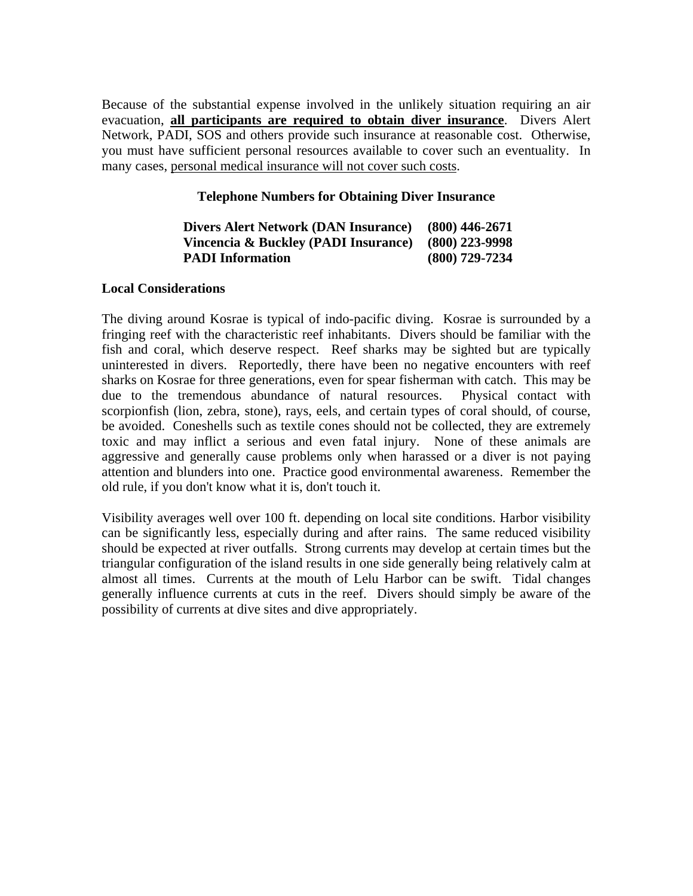Because of the substantial expense involved in the unlikely situation requiring an air evacuation, **all participants are required to obtain diver insurance**. Divers Alert Network, PADI, SOS and others provide such insurance at reasonable cost. Otherwise, you must have sufficient personal resources available to cover such an eventuality. In many cases, personal medical insurance will not cover such costs.

### **Telephone Numbers for Obtaining Diver Insurance**

| Divers Alert Network (DAN Insurance) (800) 446-2671 |                  |
|-----------------------------------------------------|------------------|
| Vincencia & Buckley (PADI Insurance) (800) 223-9998 |                  |
| <b>PADI</b> Information                             | $(800)$ 729-7234 |

#### **Local Considerations**

The diving around Kosrae is typical of indo-pacific diving. Kosrae is surrounded by a fringing reef with the characteristic reef inhabitants. Divers should be familiar with the fish and coral, which deserve respect. Reef sharks may be sighted but are typically uninterested in divers. Reportedly, there have been no negative encounters with reef sharks on Kosrae for three generations, even for spear fisherman with catch. This may be due to the tremendous abundance of natural resources. Physical contact with scorpionfish (lion, zebra, stone), rays, eels, and certain types of coral should, of course, be avoided. Coneshells such as textile cones should not be collected, they are extremely toxic and may inflict a serious and even fatal injury. None of these animals are aggressive and generally cause problems only when harassed or a diver is not paying attention and blunders into one. Practice good environmental awareness. Remember the old rule, if you don't know what it is, don't touch it.

Visibility averages well over 100 ft. depending on local site conditions. Harbor visibility can be significantly less, especially during and after rains. The same reduced visibility should be expected at river outfalls. Strong currents may develop at certain times but the triangular configuration of the island results in one side generally being relatively calm at almost all times. Currents at the mouth of Lelu Harbor can be swift. Tidal changes generally influence currents at cuts in the reef. Divers should simply be aware of the possibility of currents at dive sites and dive appropriately.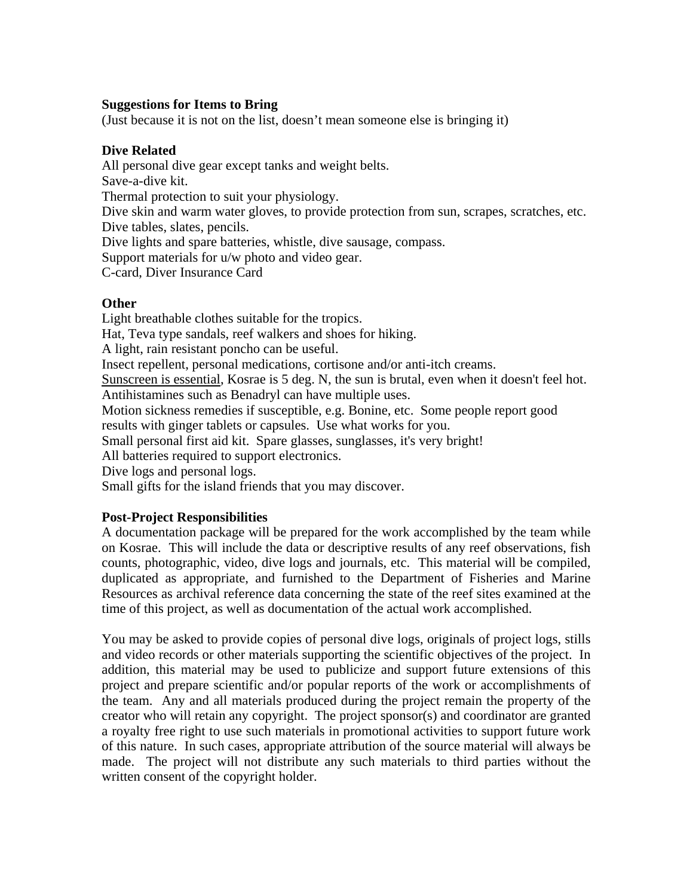## **Suggestions for Items to Bring**

(Just because it is not on the list, doesn't mean someone else is bringing it)

## **Dive Related**

All personal dive gear except tanks and weight belts. Save-a-dive kit. Thermal protection to suit your physiology. Dive skin and warm water gloves, to provide protection from sun, scrapes, scratches, etc. Dive tables, slates, pencils. Dive lights and spare batteries, whistle, dive sausage, compass. Support materials for u/w photo and video gear. C-card, Diver Insurance Card **Other** 

Light breathable clothes suitable for the tropics. Hat, Teva type sandals, reef walkers and shoes for hiking. A light, rain resistant poncho can be useful. Insect repellent, personal medications, cortisone and/or anti-itch creams. Sunscreen is essential, Kosrae is 5 deg. N, the sun is brutal, even when it doesn't feel hot. Antihistamines such as Benadryl can have multiple uses. Motion sickness remedies if susceptible, e.g. Bonine, etc. Some people report good results with ginger tablets or capsules. Use what works for you. Small personal first aid kit. Spare glasses, sunglasses, it's very bright! All batteries required to support electronics. Dive logs and personal logs. Small gifts for the island friends that you may discover.

### **Post-Project Responsibilities**

A documentation package will be prepared for the work accomplished by the team while on Kosrae. This will include the data or descriptive results of any reef observations, fish counts, photographic, video, dive logs and journals, etc. This material will be compiled, duplicated as appropriate, and furnished to the Department of Fisheries and Marine Resources as archival reference data concerning the state of the reef sites examined at the time of this project, as well as documentation of the actual work accomplished.

You may be asked to provide copies of personal dive logs, originals of project logs, stills and video records or other materials supporting the scientific objectives of the project. In addition, this material may be used to publicize and support future extensions of this project and prepare scientific and/or popular reports of the work or accomplishments of the team. Any and all materials produced during the project remain the property of the creator who will retain any copyright. The project sponsor(s) and coordinator are granted a royalty free right to use such materials in promotional activities to support future work of this nature. In such cases, appropriate attribution of the source material will always be made. The project will not distribute any such materials to third parties without the written consent of the copyright holder.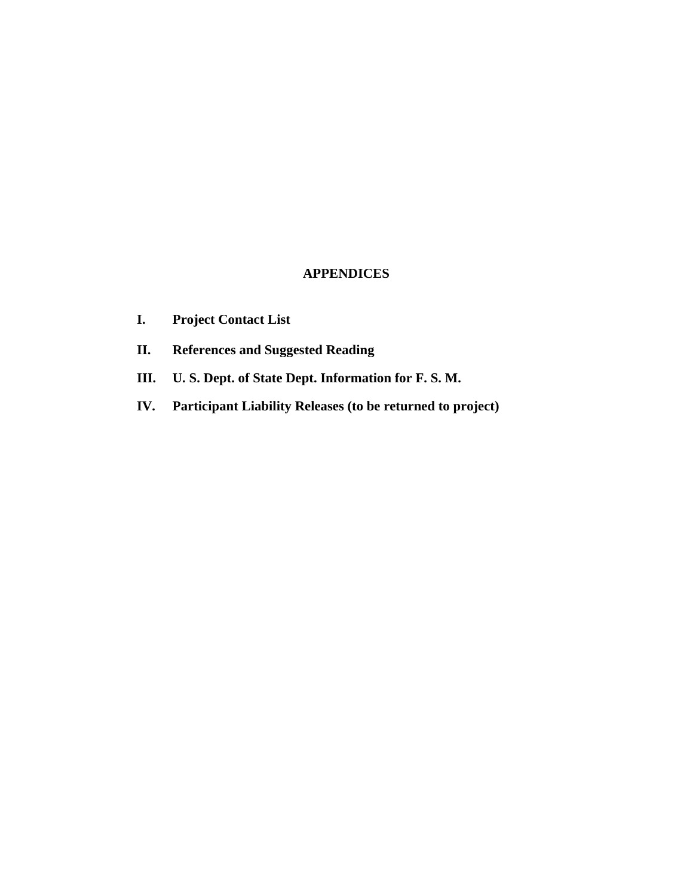## **APPENDICES**

- **I. Project Contact List**
- **II. References and Suggested Reading**
- **III. U. S. Dept. of State Dept. Information for F. S. M.**
- **IV. Participant Liability Releases (to be returned to project)**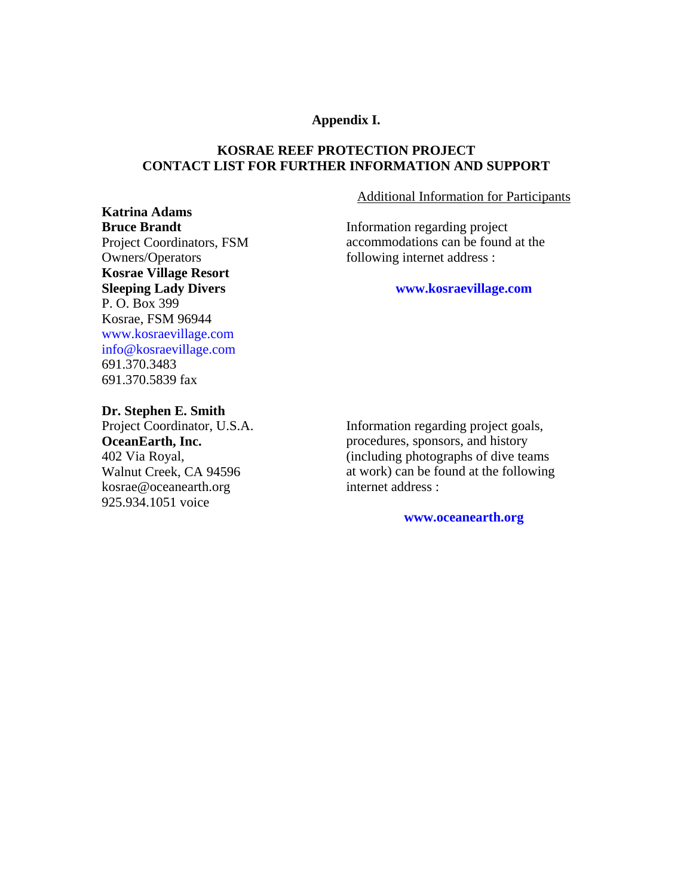### **Appendix I.**

### **KOSRAE REEF PROTECTION PROJECT CONTACT LIST FOR FURTHER INFORMATION AND SUPPORT**

## **Katrina Adams**

**Bruce Brandt** Project Coordinators, FSM Owners/Operators **Kosrae Village Resort Sleeping Lady Divers** P. O. Box 399 Kosrae, FSM 96944 www.kosraevillage.com info@kosraevillage.com 691.370.3483 691.370.5839 fax

#### Additional Information for Participants

Information regarding project accommodations can be found at the following internet address :

#### **www.kosraevillage.com**

**Dr. Stephen E. Smith**

Project Coordinator, U.S.A. **OceanEarth, Inc.** 402 Via Royal, Walnut Creek, CA 94596 kosrae@oceanearth.org 925.934.1051 voice

Information regarding project goals, procedures, sponsors, and history (including photographs of dive teams at work) can be found at the following internet address :

**www.oceanearth.org**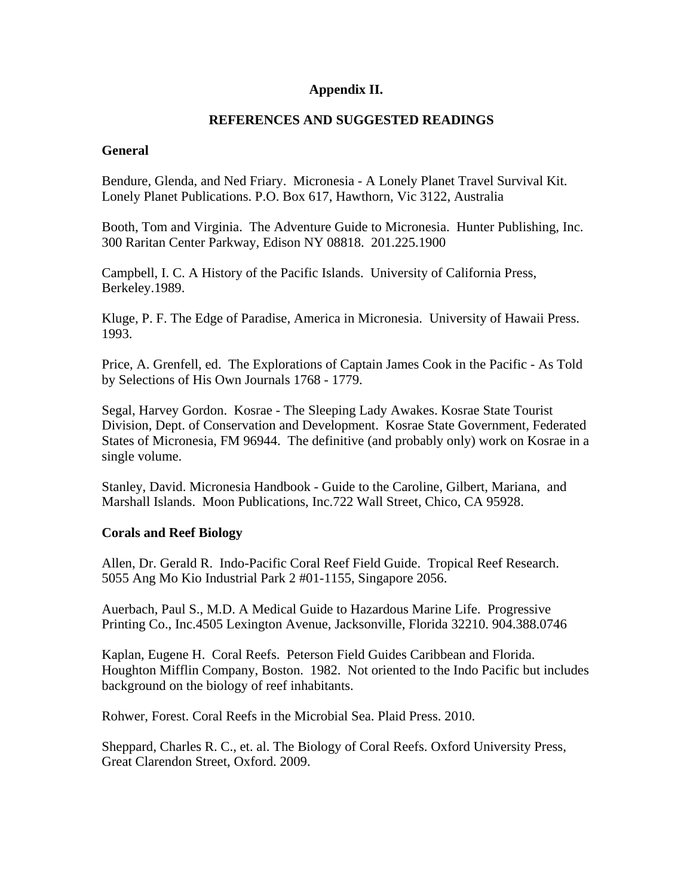## **Appendix II.**

### **REFERENCES AND SUGGESTED READINGS**

#### **General**

Bendure, Glenda, and Ned Friary. Micronesia - A Lonely Planet Travel Survival Kit. Lonely Planet Publications. P.O. Box 617, Hawthorn, Vic 3122, Australia

Booth, Tom and Virginia. The Adventure Guide to Micronesia. Hunter Publishing, Inc. 300 Raritan Center Parkway, Edison NY 08818. 201.225.1900

Campbell, I. C. A History of the Pacific Islands. University of California Press, Berkeley.1989.

Kluge, P. F. The Edge of Paradise, America in Micronesia. University of Hawaii Press. 1993.

Price, A. Grenfell, ed. The Explorations of Captain James Cook in the Pacific - As Told by Selections of His Own Journals 1768 - 1779.

Segal, Harvey Gordon. Kosrae - The Sleeping Lady Awakes. Kosrae State Tourist Division, Dept. of Conservation and Development. Kosrae State Government, Federated States of Micronesia, FM 96944. The definitive (and probably only) work on Kosrae in a single volume.

Stanley, David. Micronesia Handbook - Guide to the Caroline, Gilbert, Mariana, and Marshall Islands. Moon Publications, Inc.722 Wall Street, Chico, CA 95928.

#### **Corals and Reef Biology**

Allen, Dr. Gerald R. Indo-Pacific Coral Reef Field Guide. Tropical Reef Research. 5055 Ang Mo Kio Industrial Park 2 #01-1155, Singapore 2056.

Auerbach, Paul S., M.D. A Medical Guide to Hazardous Marine Life. Progressive Printing Co., Inc.4505 Lexington Avenue, Jacksonville, Florida 32210. 904.388.0746

Kaplan, Eugene H. Coral Reefs. Peterson Field Guides Caribbean and Florida. Houghton Mifflin Company, Boston. 1982. Not oriented to the Indo Pacific but includes background on the biology of reef inhabitants.

Rohwer, Forest. Coral Reefs in the Microbial Sea. Plaid Press. 2010.

Sheppard, Charles R. C., et. al. The Biology of Coral Reefs. Oxford University Press, Great Clarendon Street, Oxford. 2009.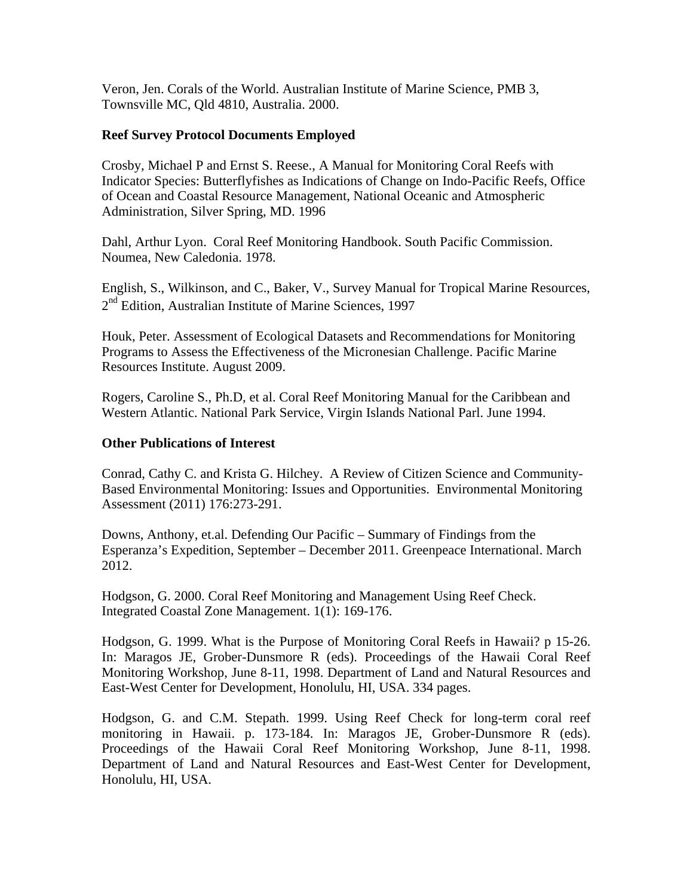Veron, Jen. Corals of the World. Australian Institute of Marine Science, PMB 3, Townsville MC, Qld 4810, Australia. 2000.

## **Reef Survey Protocol Documents Employed**

Crosby, Michael P and Ernst S. Reese., A Manual for Monitoring Coral Reefs with Indicator Species: Butterflyfishes as Indications of Change on Indo-Pacific Reefs, Office of Ocean and Coastal Resource Management, National Oceanic and Atmospheric Administration, Silver Spring, MD. 1996

Dahl, Arthur Lyon. Coral Reef Monitoring Handbook. South Pacific Commission. Noumea, New Caledonia. 1978.

English, S., Wilkinson, and C., Baker, V., Survey Manual for Tropical Marine Resources, 2<sup>nd</sup> Edition, Australian Institute of Marine Sciences, 1997

Houk, Peter. Assessment of Ecological Datasets and Recommendations for Monitoring Programs to Assess the Effectiveness of the Micronesian Challenge. Pacific Marine Resources Institute. August 2009.

Rogers, Caroline S., Ph.D, et al. Coral Reef Monitoring Manual for the Caribbean and Western Atlantic. National Park Service, Virgin Islands National Parl. June 1994.

### **Other Publications of Interest**

Conrad, Cathy C. and Krista G. Hilchey. A Review of Citizen Science and Community-Based Environmental Monitoring: Issues and Opportunities. Environmental Monitoring Assessment (2011) 176:273-291.

Downs, Anthony, et.al. Defending Our Pacific – Summary of Findings from the Esperanza's Expedition, September – December 2011. Greenpeace International. March 2012.

Hodgson, G. 2000. Coral Reef Monitoring and Management Using Reef Check. Integrated Coastal Zone Management. 1(1): 169-176.

Hodgson, G. 1999. What is the Purpose of Monitoring Coral Reefs in Hawaii? p 15-26. In: Maragos JE, Grober-Dunsmore R (eds). Proceedings of the Hawaii Coral Reef Monitoring Workshop, June 8-11, 1998. Department of Land and Natural Resources and East-West Center for Development, Honolulu, HI, USA. 334 pages.

Hodgson, G. and C.M. Stepath. 1999. Using Reef Check for long-term coral reef monitoring in Hawaii. p. 173-184. In: Maragos JE, Grober-Dunsmore R (eds). Proceedings of the Hawaii Coral Reef Monitoring Workshop, June 8-11, 1998. Department of Land and Natural Resources and East-West Center for Development, Honolulu, HI, USA.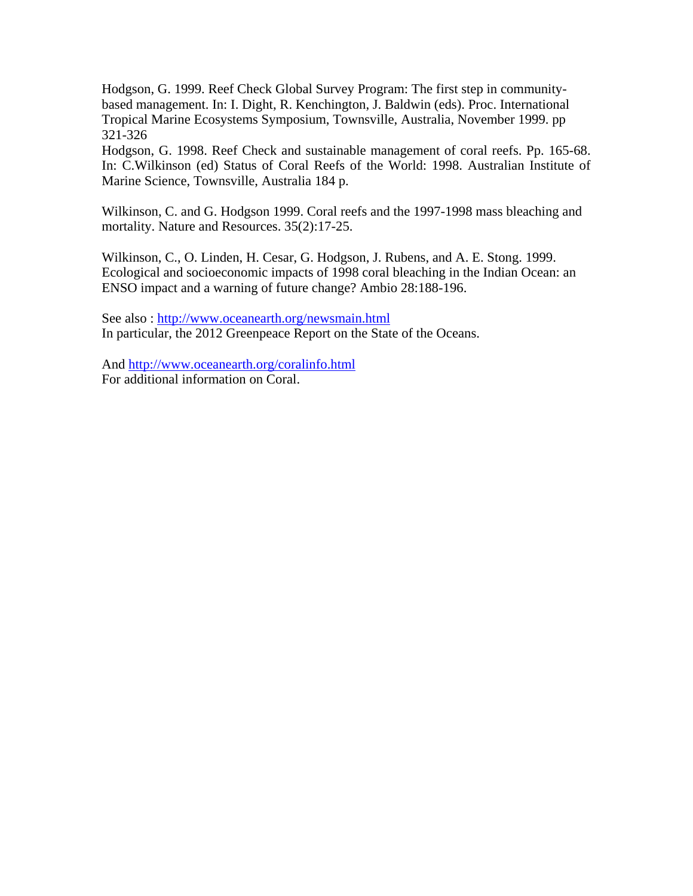Hodgson, G. 1999. Reef Check Global Survey Program: The first step in communitybased management. In: I. Dight, R. Kenchington, J. Baldwin (eds). Proc. International Tropical Marine Ecosystems Symposium, Townsville, Australia, November 1999. pp 321-326

Hodgson, G. 1998. Reef Check and sustainable management of coral reefs. Pp. 165-68. In: C.Wilkinson (ed) Status of Coral Reefs of the World: 1998. Australian Institute of Marine Science, Townsville, Australia 184 p.

Wilkinson, C. and G. Hodgson 1999. Coral reefs and the 1997-1998 mass bleaching and mortality. Nature and Resources. 35(2):17-25.

Wilkinson, C., O. Linden, H. Cesar, G. Hodgson, J. Rubens, and A. E. Stong. 1999. Ecological and socioeconomic impacts of 1998 coral bleaching in the Indian Ocean: an ENSO impact and a warning of future change? Ambio 28:188-196.

See also : http://www.oceanearth.org/newsmain.html In particular, the 2012 Greenpeace Report on the State of the Oceans.

And http://www.oceanearth.org/coralinfo.html For additional information on Coral.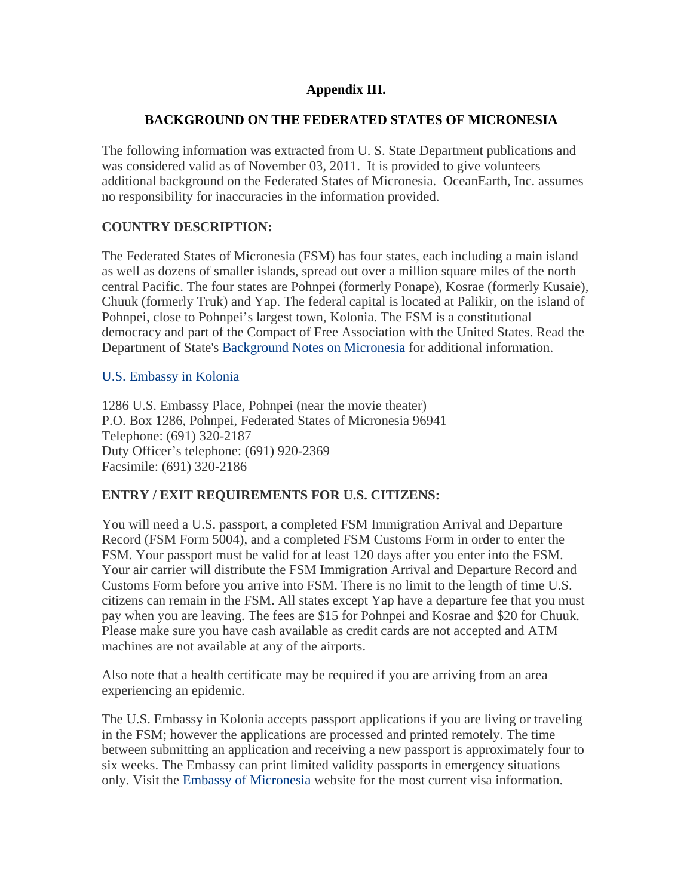## **Appendix III.**

## **BACKGROUND ON THE FEDERATED STATES OF MICRONESIA**

The following information was extracted from U. S. State Department publications and was considered valid as of November 03, 2011. It is provided to give volunteers additional background on the Federated States of Micronesia. OceanEarth, Inc. assumes no responsibility for inaccuracies in the information provided.

## **COUNTRY DESCRIPTION:**

The Federated States of Micronesia (FSM) has four states, each including a main island as well as dozens of smaller islands, spread out over a million square miles of the north central Pacific. The four states are Pohnpei (formerly Ponape), Kosrae (formerly Kusaie), Chuuk (formerly Truk) and Yap. The federal capital is located at Palikir, on the island of Pohnpei, close to Pohnpei's largest town, Kolonia. The FSM is a constitutional democracy and part of the Compact of Free Association with the United States. Read the Department of State's Background Notes on Micronesia for additional information.

## U.S. Embassy in Kolonia

1286 U.S. Embassy Place, Pohnpei (near the movie theater) P.O. Box 1286, Pohnpei, Federated States of Micronesia 96941 Telephone: (691) 320-2187 Duty Officer's telephone: (691) 920-2369 Facsimile: (691) 320-2186

## **ENTRY / EXIT REQUIREMENTS FOR U.S. CITIZENS:**

You will need a U.S. passport, a completed FSM Immigration Arrival and Departure Record (FSM Form 5004), and a completed FSM Customs Form in order to enter the FSM. Your passport must be valid for at least 120 days after you enter into the FSM. Your air carrier will distribute the FSM Immigration Arrival and Departure Record and Customs Form before you arrive into FSM. There is no limit to the length of time U.S. citizens can remain in the FSM. All states except Yap have a departure fee that you must pay when you are leaving. The fees are \$15 for Pohnpei and Kosrae and \$20 for Chuuk. Please make sure you have cash available as credit cards are not accepted and ATM machines are not available at any of the airports.

Also note that a health certificate may be required if you are arriving from an area experiencing an epidemic.

The U.S. Embassy in Kolonia accepts passport applications if you are living or traveling in the FSM; however the applications are processed and printed remotely. The time between submitting an application and receiving a new passport is approximately four to six weeks. The Embassy can print limited validity passports in emergency situations only. Visit the Embassy of Micronesia website for the most current visa information.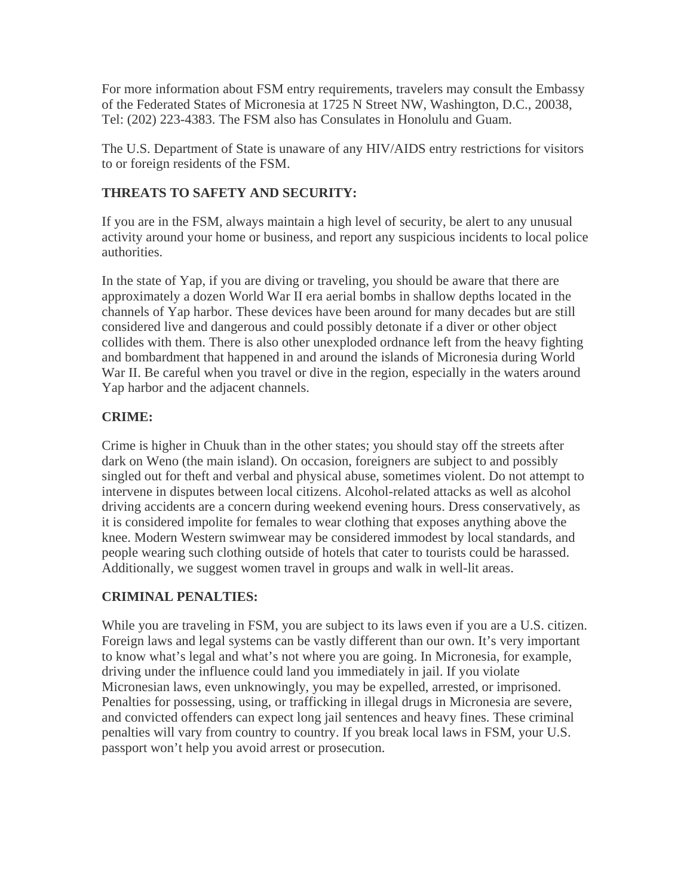For more information about FSM entry requirements, travelers may consult the Embassy of the Federated States of Micronesia at 1725 N Street NW, Washington, D.C., 20038, Tel: (202) 223-4383. The FSM also has Consulates in Honolulu and Guam.

The U.S. Department of State is unaware of any HIV/AIDS entry restrictions for visitors to or foreign residents of the FSM.

## **THREATS TO SAFETY AND SECURITY:**

If you are in the FSM, always maintain a high level of security, be alert to any unusual activity around your home or business, and report any suspicious incidents to local police authorities.

In the state of Yap, if you are diving or traveling, you should be aware that there are approximately a dozen World War II era aerial bombs in shallow depths located in the channels of Yap harbor. These devices have been around for many decades but are still considered live and dangerous and could possibly detonate if a diver or other object collides with them. There is also other unexploded ordnance left from the heavy fighting and bombardment that happened in and around the islands of Micronesia during World War II. Be careful when you travel or dive in the region, especially in the waters around Yap harbor and the adjacent channels.

## **CRIME:**

Crime is higher in Chuuk than in the other states; you should stay off the streets after dark on Weno (the main island). On occasion, foreigners are subject to and possibly singled out for theft and verbal and physical abuse, sometimes violent. Do not attempt to intervene in disputes between local citizens. Alcohol-related attacks as well as alcohol driving accidents are a concern during weekend evening hours. Dress conservatively, as it is considered impolite for females to wear clothing that exposes anything above the knee. Modern Western swimwear may be considered immodest by local standards, and people wearing such clothing outside of hotels that cater to tourists could be harassed. Additionally, we suggest women travel in groups and walk in well-lit areas.

## **CRIMINAL PENALTIES:**

While you are traveling in FSM, you are subject to its laws even if you are a U.S. citizen. Foreign laws and legal systems can be vastly different than our own. It's very important to know what's legal and what's not where you are going. In Micronesia, for example, driving under the influence could land you immediately in jail. If you violate Micronesian laws, even unknowingly, you may be expelled, arrested, or imprisoned. Penalties for possessing, using, or trafficking in illegal drugs in Micronesia are severe, and convicted offenders can expect long jail sentences and heavy fines. These criminal penalties will vary from country to country. If you break local laws in FSM, your U.S. passport won't help you avoid arrest or prosecution.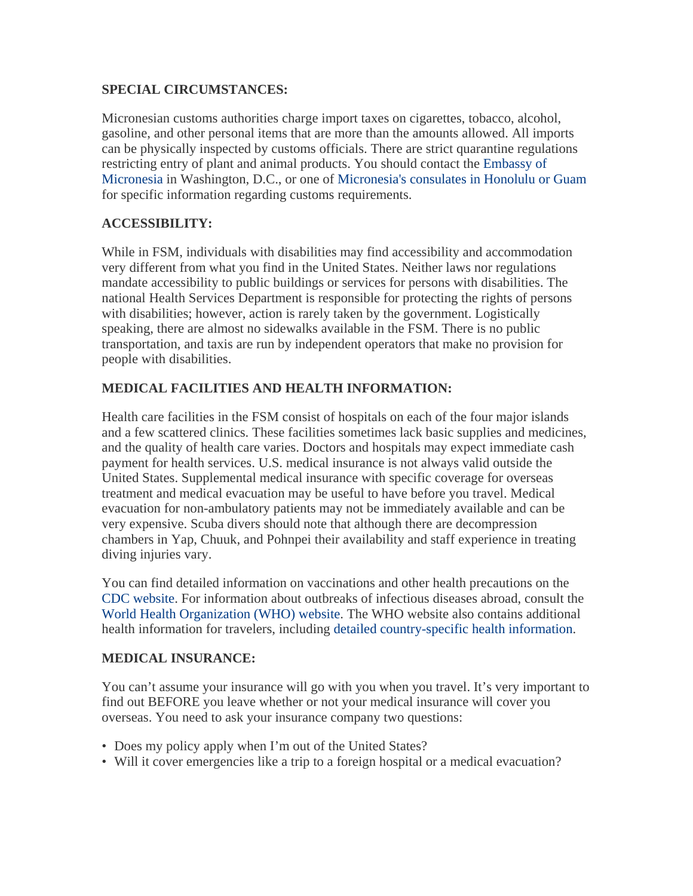## **SPECIAL CIRCUMSTANCES:**

Micronesian customs authorities charge import taxes on cigarettes, tobacco, alcohol, gasoline, and other personal items that are more than the amounts allowed. All imports can be physically inspected by customs officials. There are strict quarantine regulations restricting entry of plant and animal products. You should contact the Embassy of Micronesia in Washington, D.C., or one of Micronesia's consulates in Honolulu or Guam for specific information regarding customs requirements.

## **ACCESSIBILITY:**

While in FSM, individuals with disabilities may find accessibility and accommodation very different from what you find in the United States. Neither laws nor regulations mandate accessibility to public buildings or services for persons with disabilities. The national Health Services Department is responsible for protecting the rights of persons with disabilities; however, action is rarely taken by the government. Logistically speaking, there are almost no sidewalks available in the FSM. There is no public transportation, and taxis are run by independent operators that make no provision for people with disabilities.

## **MEDICAL FACILITIES AND HEALTH INFORMATION:**

Health care facilities in the FSM consist of hospitals on each of the four major islands and a few scattered clinics. These facilities sometimes lack basic supplies and medicines, and the quality of health care varies. Doctors and hospitals may expect immediate cash payment for health services. U.S. medical insurance is not always valid outside the United States. Supplemental medical insurance with specific coverage for overseas treatment and medical evacuation may be useful to have before you travel. Medical evacuation for non-ambulatory patients may not be immediately available and can be very expensive. Scuba divers should note that although there are decompression chambers in Yap, Chuuk, and Pohnpei their availability and staff experience in treating diving injuries vary.

You can find detailed information on vaccinations and other health precautions on the CDC website. For information about outbreaks of infectious diseases abroad, consult the World Health Organization (WHO) website. The WHO website also contains additional health information for travelers, including detailed country-specific health information.

### **MEDICAL INSURANCE:**

You can't assume your insurance will go with you when you travel. It's very important to find out BEFORE you leave whether or not your medical insurance will cover you overseas. You need to ask your insurance company two questions:

- Does my policy apply when I'm out of the United States?
- Will it cover emergencies like a trip to a foreign hospital or a medical evacuation?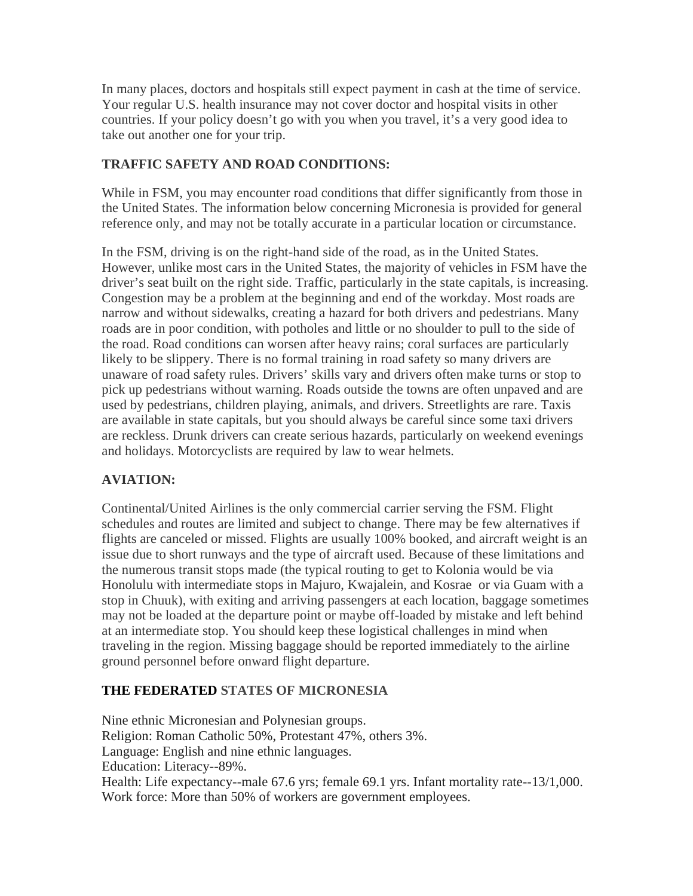In many places, doctors and hospitals still expect payment in cash at the time of service. Your regular U.S. health insurance may not cover doctor and hospital visits in other countries. If your policy doesn't go with you when you travel, it's a very good idea to take out another one for your trip.

## **TRAFFIC SAFETY AND ROAD CONDITIONS:**

While in FSM, you may encounter road conditions that differ significantly from those in the United States. The information below concerning Micronesia is provided for general reference only, and may not be totally accurate in a particular location or circumstance.

In the FSM, driving is on the right-hand side of the road, as in the United States. However, unlike most cars in the United States, the majority of vehicles in FSM have the driver's seat built on the right side. Traffic, particularly in the state capitals, is increasing. Congestion may be a problem at the beginning and end of the workday. Most roads are narrow and without sidewalks, creating a hazard for both drivers and pedestrians. Many roads are in poor condition, with potholes and little or no shoulder to pull to the side of the road. Road conditions can worsen after heavy rains; coral surfaces are particularly likely to be slippery. There is no formal training in road safety so many drivers are unaware of road safety rules. Drivers' skills vary and drivers often make turns or stop to pick up pedestrians without warning. Roads outside the towns are often unpaved and are used by pedestrians, children playing, animals, and drivers. Streetlights are rare. Taxis are available in state capitals, but you should always be careful since some taxi drivers are reckless. Drunk drivers can create serious hazards, particularly on weekend evenings and holidays. Motorcyclists are required by law to wear helmets.

## **AVIATION:**

Continental/United Airlines is the only commercial carrier serving the FSM. Flight schedules and routes are limited and subject to change. There may be few alternatives if flights are canceled or missed. Flights are usually 100% booked, and aircraft weight is an issue due to short runways and the type of aircraft used. Because of these limitations and the numerous transit stops made (the typical routing to get to Kolonia would be via Honolulu with intermediate stops in Majuro, Kwajalein, and Kosrae or via Guam with a stop in Chuuk), with exiting and arriving passengers at each location, baggage sometimes may not be loaded at the departure point or maybe off-loaded by mistake and left behind at an intermediate stop. You should keep these logistical challenges in mind when traveling in the region. Missing baggage should be reported immediately to the airline ground personnel before onward flight departure.

## **THE FEDERATED STATES OF MICRONESIA**

Nine ethnic Micronesian and Polynesian groups. Religion: Roman Catholic 50%, Protestant 47%, others 3%. Language: English and nine ethnic languages. Education: Literacy--89%. Health: Life expectancy--male 67.6 yrs; female 69.1 yrs. Infant mortality rate--13/1,000. Work force: More than 50% of workers are government employees.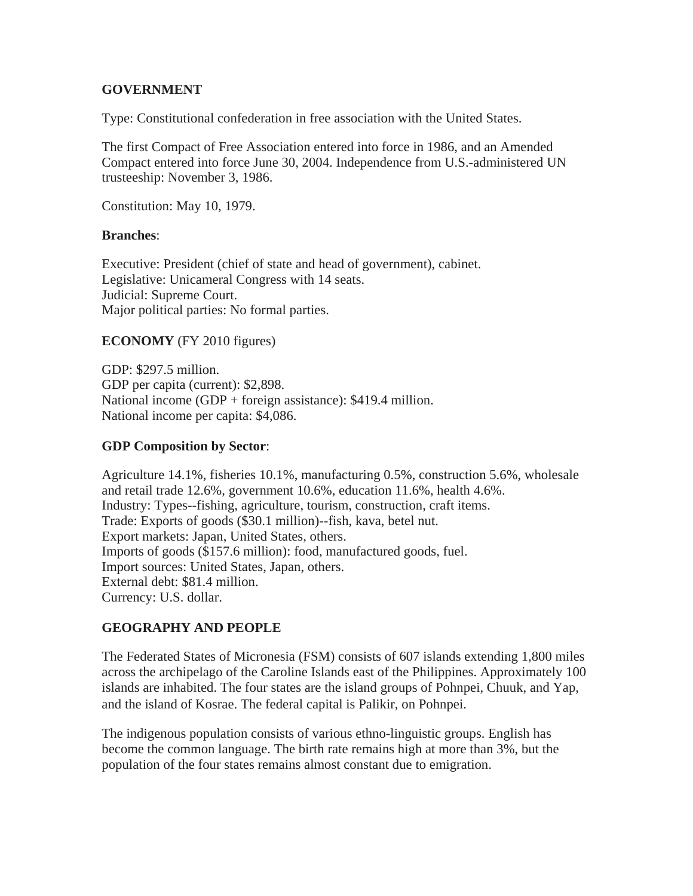## **GOVERNMENT**

Type: Constitutional confederation in free association with the United States.

The first Compact of Free Association entered into force in 1986, and an Amended Compact entered into force June 30, 2004. Independence from U.S.-administered UN trusteeship: November 3, 1986.

Constitution: May 10, 1979.

#### **Branches**:

Executive: President (chief of state and head of government), cabinet. Legislative: Unicameral Congress with 14 seats. Judicial: Supreme Court. Major political parties: No formal parties.

#### **ECONOMY** (FY 2010 figures)

GDP: \$297.5 million. GDP per capita (current): \$2,898. National income (GDP + foreign assistance): \$419.4 million. National income per capita: \$4,086.

#### **GDP Composition by Sector**:

Agriculture 14.1%, fisheries 10.1%, manufacturing 0.5%, construction 5.6%, wholesale and retail trade 12.6%, government 10.6%, education 11.6%, health 4.6%. Industry: Types--fishing, agriculture, tourism, construction, craft items. Trade: Exports of goods (\$30.1 million)--fish, kava, betel nut. Export markets: Japan, United States, others. Imports of goods (\$157.6 million): food, manufactured goods, fuel. Import sources: United States, Japan, others. External debt: \$81.4 million. Currency: U.S. dollar.

### **GEOGRAPHY AND PEOPLE**

The Federated States of Micronesia (FSM) consists of 607 islands extending 1,800 miles across the archipelago of the Caroline Islands east of the Philippines. Approximately 100 islands are inhabited. The four states are the island groups of Pohnpei, Chuuk, and Yap, and the island of Kosrae. The federal capital is Palikir, on Pohnpei.

The indigenous population consists of various ethno-linguistic groups. English has become the common language. The birth rate remains high at more than 3%, but the population of the four states remains almost constant due to emigration.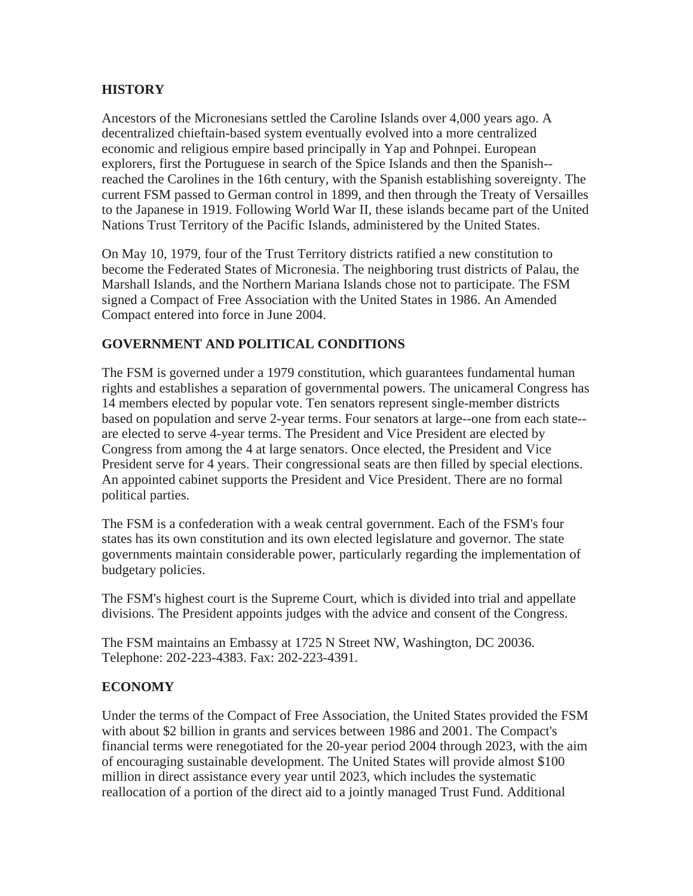## **HISTORY**

Ancestors of the Micronesians settled the Caroline Islands over 4,000 years ago. A decentralized chieftain-based system eventually evolved into a more centralized economic and religious empire based principally in Yap and Pohnpei. European explorers, first the Portuguese in search of the Spice Islands and then the Spanish- reached the Carolines in the 16th century, with the Spanish establishing sovereignty. The current FSM passed to German control in 1899, and then through the Treaty of Versailles to the Japanese in 1919. Following World War II, these islands became part of the United Nations Trust Territory of the Pacific Islands, administered by the United States.

On May 10, 1979, four of the Trust Territory districts ratified a new constitution to become the Federated States of Micronesia. The neighboring trust districts of Palau, the Marshall Islands, and the Northern Mariana Islands chose not to participate. The FSM signed a Compact of Free Association with the United States in 1986. An Amended Compact entered into force in June 2004.

## **GOVERNMENT AND POLITICAL CONDITIONS**

The FSM is governed under a 1979 constitution, which guarantees fundamental human rights and establishes a separation of governmental powers. The unicameral Congress has 14 members elected by popular vote. Ten senators represent single-member districts based on population and serve 2-year terms. Four senators at large--one from each state- are elected to serve 4-year terms. The President and Vice President are elected by Congress from among the 4 at large senators. Once elected, the President and Vice President serve for 4 years. Their congressional seats are then filled by special elections. An appointed cabinet supports the President and Vice President. There are no formal political parties.

The FSM is a confederation with a weak central government. Each of the FSM's four states has its own constitution and its own elected legislature and governor. The state governments maintain considerable power, particularly regarding the implementation of budgetary policies.

The FSM's highest court is the Supreme Court, which is divided into trial and appellate divisions. The President appoints judges with the advice and consent of the Congress.

The FSM maintains an Embassy at 1725 N Street NW, Washington, DC 20036. Telephone: 202-223-4383. Fax: 202-223-4391.

## **ECONOMY**

Under the terms of the Compact of Free Association, the United States provided the FSM with about \$2 billion in grants and services between 1986 and 2001. The Compact's financial terms were renegotiated for the 20-year period 2004 through 2023, with the aim of encouraging sustainable development. The United States will provide almost \$100 million in direct assistance every year until 2023, which includes the systematic reallocation of a portion of the direct aid to a jointly managed Trust Fund. Additional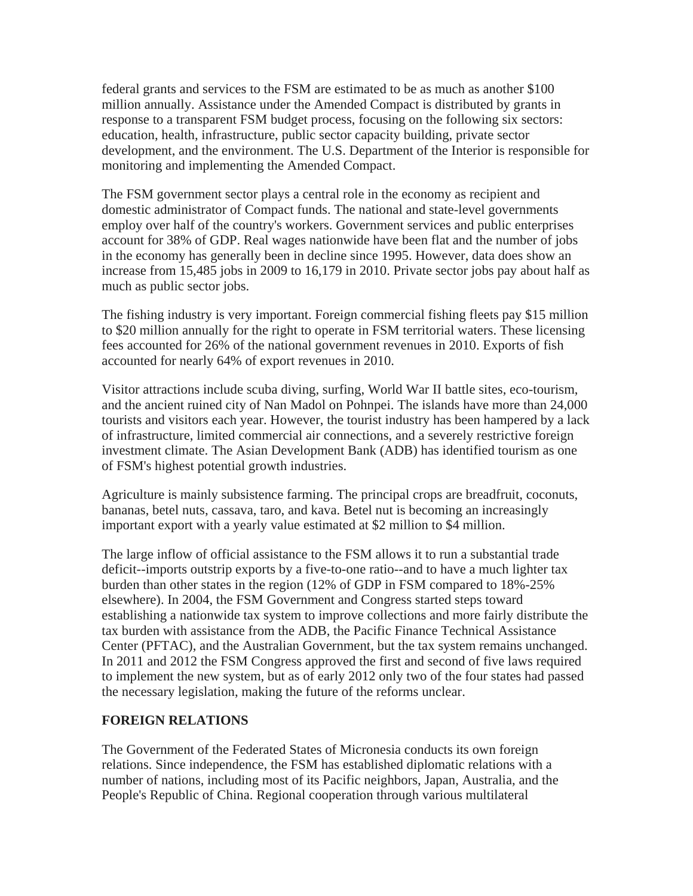federal grants and services to the FSM are estimated to be as much as another \$100 million annually. Assistance under the Amended Compact is distributed by grants in response to a transparent FSM budget process, focusing on the following six sectors: education, health, infrastructure, public sector capacity building, private sector development, and the environment. The U.S. Department of the Interior is responsible for monitoring and implementing the Amended Compact.

The FSM government sector plays a central role in the economy as recipient and domestic administrator of Compact funds. The national and state-level governments employ over half of the country's workers. Government services and public enterprises account for 38% of GDP. Real wages nationwide have been flat and the number of jobs in the economy has generally been in decline since 1995. However, data does show an increase from 15,485 jobs in 2009 to 16,179 in 2010. Private sector jobs pay about half as much as public sector jobs.

The fishing industry is very important. Foreign commercial fishing fleets pay \$15 million to \$20 million annually for the right to operate in FSM territorial waters. These licensing fees accounted for 26% of the national government revenues in 2010. Exports of fish accounted for nearly 64% of export revenues in 2010.

Visitor attractions include scuba diving, surfing, World War II battle sites, eco-tourism, and the ancient ruined city of Nan Madol on Pohnpei. The islands have more than 24,000 tourists and visitors each year. However, the tourist industry has been hampered by a lack of infrastructure, limited commercial air connections, and a severely restrictive foreign investment climate. The Asian Development Bank (ADB) has identified tourism as one of FSM's highest potential growth industries.

Agriculture is mainly subsistence farming. The principal crops are breadfruit, coconuts, bananas, betel nuts, cassava, taro, and kava. Betel nut is becoming an increasingly important export with a yearly value estimated at \$2 million to \$4 million.

The large inflow of official assistance to the FSM allows it to run a substantial trade deficit--imports outstrip exports by a five-to-one ratio--and to have a much lighter tax burden than other states in the region (12% of GDP in FSM compared to 18%-25% elsewhere). In 2004, the FSM Government and Congress started steps toward establishing a nationwide tax system to improve collections and more fairly distribute the tax burden with assistance from the ADB, the Pacific Finance Technical Assistance Center (PFTAC), and the Australian Government, but the tax system remains unchanged. In 2011 and 2012 the FSM Congress approved the first and second of five laws required to implement the new system, but as of early 2012 only two of the four states had passed the necessary legislation, making the future of the reforms unclear.

### **FOREIGN RELATIONS**

The Government of the Federated States of Micronesia conducts its own foreign relations. Since independence, the FSM has established diplomatic relations with a number of nations, including most of its Pacific neighbors, Japan, Australia, and the People's Republic of China. Regional cooperation through various multilateral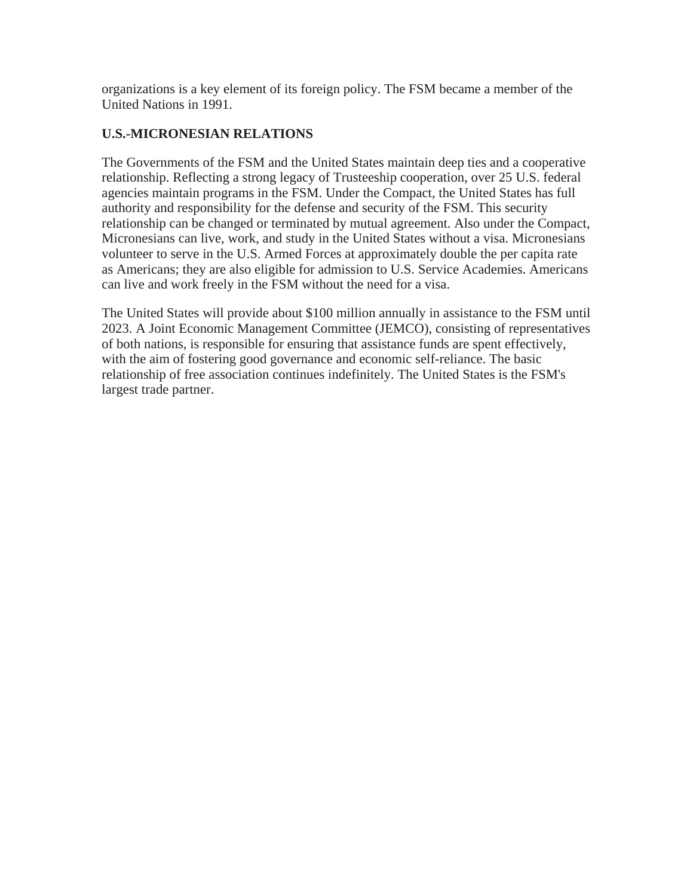organizations is a key element of its foreign policy. The FSM became a member of the United Nations in 1991.

## **U.S.-MICRONESIAN RELATIONS**

The Governments of the FSM and the United States maintain deep ties and a cooperative relationship. Reflecting a strong legacy of Trusteeship cooperation, over 25 U.S. federal agencies maintain programs in the FSM. Under the Compact, the United States has full authority and responsibility for the defense and security of the FSM. This security relationship can be changed or terminated by mutual agreement. Also under the Compact, Micronesians can live, work, and study in the United States without a visa. Micronesians volunteer to serve in the U.S. Armed Forces at approximately double the per capita rate as Americans; they are also eligible for admission to U.S. Service Academies. Americans can live and work freely in the FSM without the need for a visa.

The United States will provide about \$100 million annually in assistance to the FSM until 2023. A Joint Economic Management Committee (JEMCO), consisting of representatives of both nations, is responsible for ensuring that assistance funds are spent effectively, with the aim of fostering good governance and economic self-reliance. The basic relationship of free association continues indefinitely. The United States is the FSM's largest trade partner.